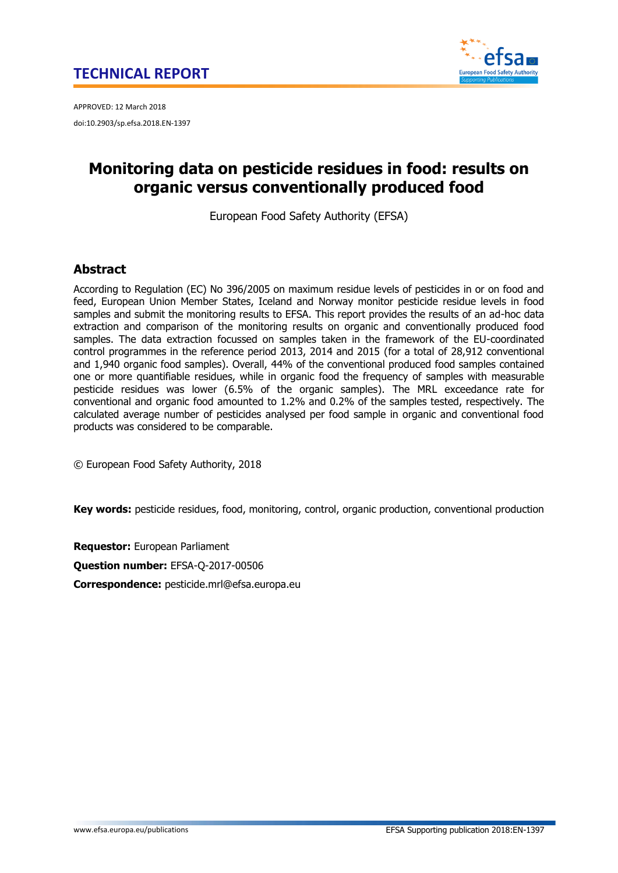## **TECHNICAL REPORT**



APPROVED: 12 March 2018 doi:10.2903/sp.efsa.2018.EN-1397

# **Monitoring data on pesticide residues in food: results on organic versus conventionally produced food**

European Food Safety Authority (EFSA)

## <span id="page-0-0"></span>**Abstract**

According to Regulation (EC) No 396/2005 on maximum residue levels of pesticides in or on food and feed, European Union Member States, Iceland and Norway monitor pesticide residue levels in food samples and submit the monitoring results to EFSA. This report provides the results of an ad-hoc data extraction and comparison of the monitoring results on organic and conventionally produced food samples. The data extraction focussed on samples taken in the framework of the EU-coordinated control programmes in the reference period 2013, 2014 and 2015 (for a total of 28,912 conventional and 1,940 organic food samples). Overall, 44% of the conventional produced food samples contained one or more quantifiable residues, while in organic food the frequency of samples with measurable pesticide residues was lower (6.5% of the organic samples). The MRL exceedance rate for conventional and organic food amounted to 1.2% and 0.2% of the samples tested, respectively. The calculated average number of pesticides analysed per food sample in organic and conventional food products was considered to be comparable.

© European Food Safety Authority, 2018

**Key words:** pesticide residues, food, monitoring, control, organic production, conventional production

**Requestor:** European Parliament **Question number:** EFSA-Q-2017-00506 **Correspondence:** pesticide.mrl@efsa.europa.eu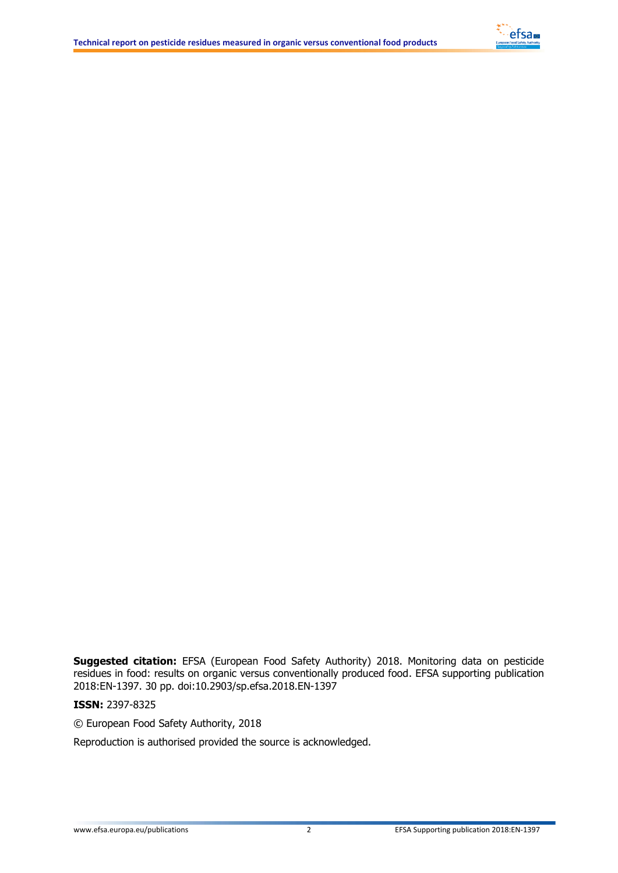

**Suggested citation:** EFSA (European Food Safety Authority) 2018. Monitoring data on pesticide residues in food: results on organic versus conventionally produced food. EFSA supporting publication 2018:EN-1397. 30 pp. doi:10.2903/sp.efsa.2018.EN-1397

**ISSN:** 2397-8325

© European Food Safety Authority, 2018

Reproduction is authorised provided the source is acknowledged.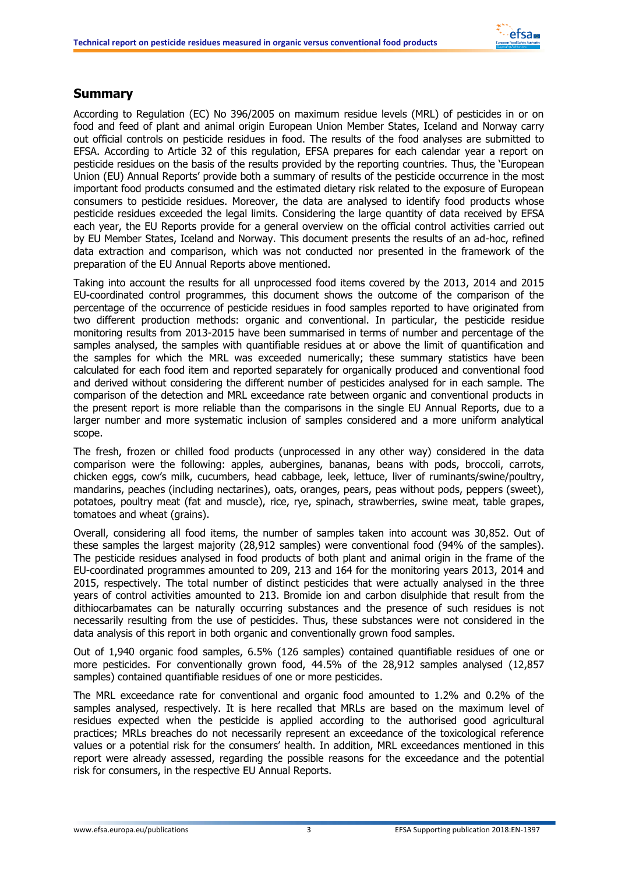

## <span id="page-2-0"></span>**Summary**

According to Regulation (EC) No 396/2005 on maximum residue levels (MRL) of pesticides in or on food and feed of plant and animal origin European Union Member States, Iceland and Norway carry out official controls on pesticide residues in food. The results of the food analyses are submitted to EFSA. According to Article 32 of this regulation, EFSA prepares for each calendar year a report on pesticide residues on the basis of the results provided by the reporting countries. Thus, the 'European Union (EU) Annual Reports' provide both a summary of results of the pesticide occurrence in the most important food products consumed and the estimated dietary risk related to the exposure of European consumers to pesticide residues. Moreover, the data are analysed to identify food products whose pesticide residues exceeded the legal limits. Considering the large quantity of data received by EFSA each year, the EU Reports provide for a general overview on the official control activities carried out by EU Member States, Iceland and Norway. This document presents the results of an ad-hoc, refined data extraction and comparison, which was not conducted nor presented in the framework of the preparation of the EU Annual Reports above mentioned.

Taking into account the results for all unprocessed food items covered by the 2013, 2014 and 2015 EU-coordinated control programmes, this document shows the outcome of the comparison of the percentage of the occurrence of pesticide residues in food samples reported to have originated from two different production methods: organic and conventional. In particular, the pesticide residue monitoring results from 2013-2015 have been summarised in terms of number and percentage of the samples analysed, the samples with quantifiable residues at or above the limit of quantification and the samples for which the MRL was exceeded numerically; these summary statistics have been calculated for each food item and reported separately for organically produced and conventional food and derived without considering the different number of pesticides analysed for in each sample. The comparison of the detection and MRL exceedance rate between organic and conventional products in the present report is more reliable than the comparisons in the single EU Annual Reports, due to a larger number and more systematic inclusion of samples considered and a more uniform analytical scope.

The fresh, frozen or chilled food products (unprocessed in any other way) considered in the data comparison were the following: apples, aubergines, bananas, beans with pods, broccoli, carrots, chicken eggs, cow's milk, cucumbers, head cabbage, leek, lettuce, liver of ruminants/swine/poultry, mandarins, peaches (including nectarines), oats, oranges, pears, peas without pods, peppers (sweet), potatoes, poultry meat (fat and muscle), rice, rye, spinach, strawberries, swine meat, table grapes, tomatoes and wheat (grains).

Overall, considering all food items, the number of samples taken into account was 30,852. Out of these samples the largest majority (28,912 samples) were conventional food (94% of the samples). The pesticide residues analysed in food products of both plant and animal origin in the frame of the EU-coordinated programmes amounted to 209, 213 and 164 for the monitoring years 2013, 2014 and 2015, respectively. The total number of distinct pesticides that were actually analysed in the three years of control activities amounted to 213. Bromide ion and carbon disulphide that result from the dithiocarbamates can be naturally occurring substances and the presence of such residues is not necessarily resulting from the use of pesticides. Thus, these substances were not considered in the data analysis of this report in both organic and conventionally grown food samples.

Out of 1,940 organic food samples, 6.5% (126 samples) contained quantifiable residues of one or more pesticides. For conventionally grown food, 44.5% of the 28,912 samples analysed (12,857 samples) contained quantifiable residues of one or more pesticides.

The MRL exceedance rate for conventional and organic food amounted to 1.2% and 0.2% of the samples analysed, respectively. It is here recalled that MRLs are based on the maximum level of residues expected when the pesticide is applied according to the authorised good agricultural practices; MRLs breaches do not necessarily represent an exceedance of the toxicological reference values or a potential risk for the consumers' health. In addition, MRL exceedances mentioned in this report were already assessed, regarding the possible reasons for the exceedance and the potential risk for consumers, in the respective EU Annual Reports.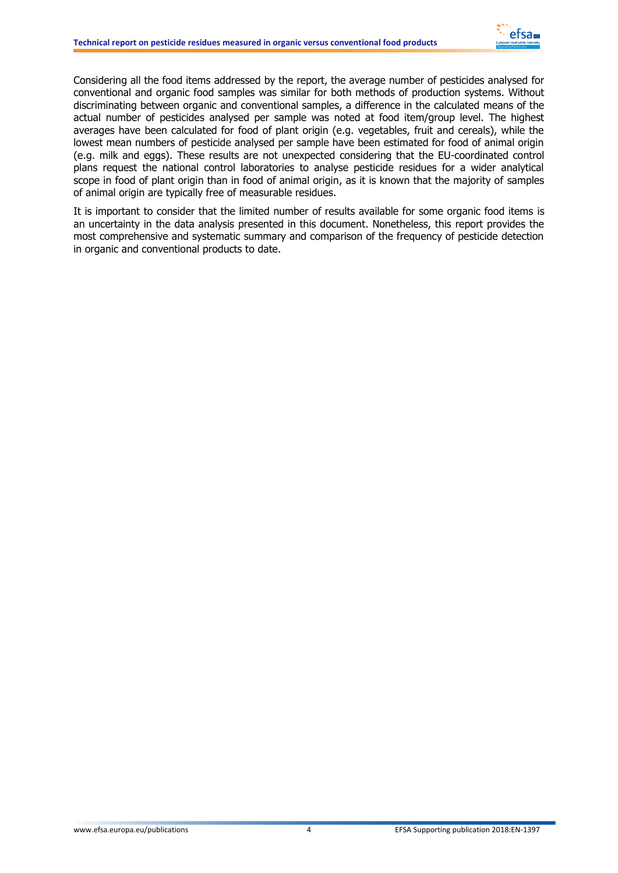

Considering all the food items addressed by the report, the average number of pesticides analysed for conventional and organic food samples was similar for both methods of production systems. Without discriminating between organic and conventional samples, a difference in the calculated means of the actual number of pesticides analysed per sample was noted at food item/group level. The highest averages have been calculated for food of plant origin (e.g. vegetables, fruit and cereals), while the lowest mean numbers of pesticide analysed per sample have been estimated for food of animal origin (e.g. milk and eggs). These results are not unexpected considering that the EU-coordinated control plans request the national control laboratories to analyse pesticide residues for a wider analytical scope in food of plant origin than in food of animal origin, as it is known that the majority of samples of animal origin are typically free of measurable residues.

It is important to consider that the limited number of results available for some organic food items is an uncertainty in the data analysis presented in this document. Nonetheless, this report provides the most comprehensive and systematic summary and comparison of the frequency of pesticide detection in organic and conventional products to date.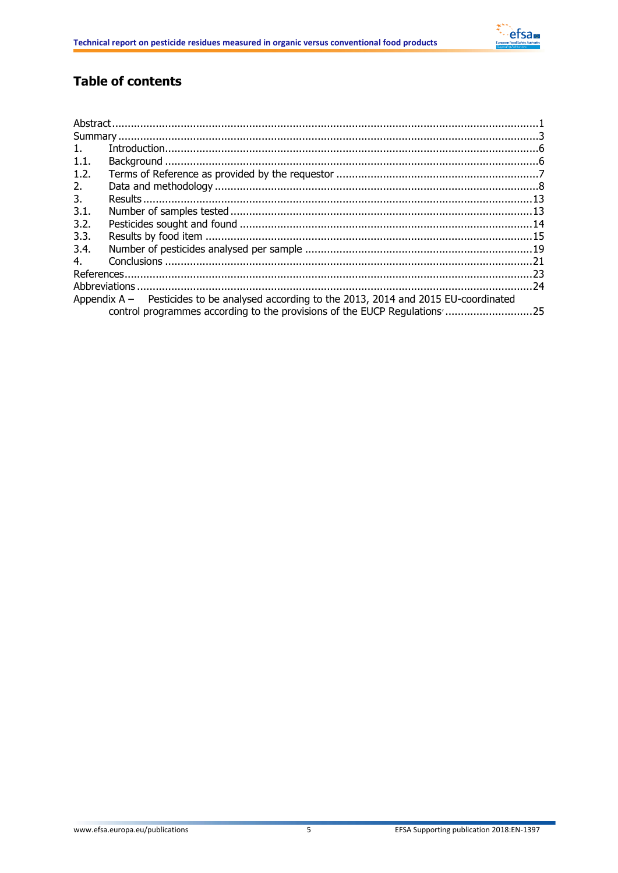

## **Table of contents**

| $1_{-}$ |                                                                                              |  |
|---------|----------------------------------------------------------------------------------------------|--|
| 1.1.    |                                                                                              |  |
| 1.2.    |                                                                                              |  |
| 2.      |                                                                                              |  |
| 3.      |                                                                                              |  |
| 3.1.    |                                                                                              |  |
| 3.2.    |                                                                                              |  |
| 3.3.    |                                                                                              |  |
| 3.4.    |                                                                                              |  |
| 4.      |                                                                                              |  |
|         |                                                                                              |  |
|         |                                                                                              |  |
|         | Appendix $A -$ Pesticides to be analysed according to the 2013, 2014 and 2015 EU-coordinated |  |
|         | control programmes according to the provisions of the EUCP Regulations'25                    |  |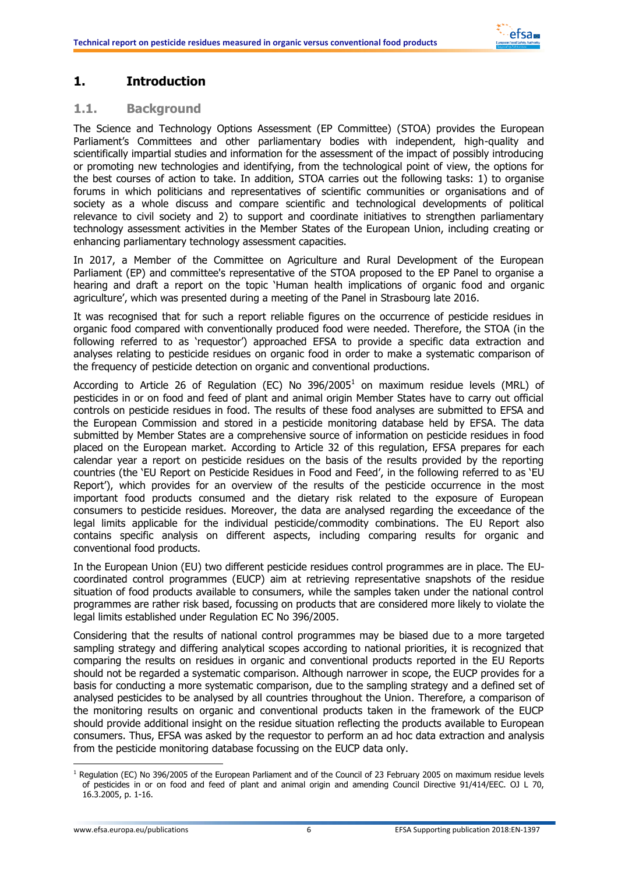

## <span id="page-5-0"></span>**1. Introduction**

#### <span id="page-5-1"></span>**1.1. Background**

The Science and Technology Options Assessment (EP Committee) (STOA) provides the European Parliament's Committees and other parliamentary bodies with independent, high-quality and scientifically impartial studies and information for the assessment of the impact of possibly introducing or promoting new technologies and identifying, from the technological point of view, the options for the best courses of action to take. In addition, STOA carries out the following tasks: 1) to organise forums in which politicians and representatives of scientific communities or organisations and of society as a whole discuss and compare scientific and technological developments of political relevance to civil society and 2) to support and coordinate initiatives to strengthen parliamentary technology assessment activities in the Member States of the European Union, including creating or enhancing parliamentary technology assessment capacities.

In 2017, a Member of the Committee on Agriculture and Rural Development of the European Parliament (EP) and committee's representative of the STOA proposed to the EP Panel to organise a hearing and draft a report on the topic 'Human health implications of organic food and organic agriculture', which was presented during a meeting of the Panel in Strasbourg late 2016.

It was recognised that for such a report reliable figures on the occurrence of pesticide residues in organic food compared with conventionally produced food were needed. Therefore, the STOA (in the following referred to as 'requestor') approached EFSA to provide a specific data extraction and analyses relating to pesticide residues on organic food in order to make a systematic comparison of the frequency of pesticide detection on organic and conventional productions.

According to Article 26 of Regulation (EC) No 396/2005<sup>1</sup> on maximum residue levels (MRL) of pesticides in or on food and feed of plant and animal origin Member States have to carry out official controls on pesticide residues in food. The results of these food analyses are submitted to EFSA and the European Commission and stored in a pesticide monitoring database held by EFSA. The data submitted by Member States are a comprehensive source of information on pesticide residues in food placed on the European market. According to Article 32 of this regulation, EFSA prepares for each calendar year a report on pesticide residues on the basis of the results provided by the reporting countries (the 'EU Report on Pesticide Residues in Food and Feed', in the following referred to as 'EU Report'), which provides for an overview of the results of the pesticide occurrence in the most important food products consumed and the dietary risk related to the exposure of European consumers to pesticide residues. Moreover, the data are analysed regarding the exceedance of the legal limits applicable for the individual pesticide/commodity combinations. The EU Report also contains specific analysis on different aspects, including comparing results for organic and conventional food products.

In the European Union (EU) two different pesticide residues control programmes are in place. The EUcoordinated control programmes (EUCP) aim at retrieving representative snapshots of the residue situation of food products available to consumers, while the samples taken under the national control programmes are rather risk based, focussing on products that are considered more likely to violate the legal limits established under Regulation EC No 396/2005.

Considering that the results of national control programmes may be biased due to a more targeted sampling strategy and differing analytical scopes according to national priorities, it is recognized that comparing the results on residues in organic and conventional products reported in the EU Reports should not be regarded a systematic comparison. Although narrower in scope, the EUCP provides for a basis for conducting a more systematic comparison, due to the sampling strategy and a defined set of analysed pesticides to be analysed by all countries throughout the Union. Therefore, a comparison of the monitoring results on organic and conventional products taken in the framework of the EUCP should provide additional insight on the residue situation reflecting the products available to European consumers. Thus, EFSA was asked by the requestor to perform an ad hoc data extraction and analysis from the pesticide monitoring database focussing on the EUCP data only.

 $\overline{a}$ 

 $1$  Regulation (EC) No 396/2005 of the European Parliament and of the Council of 23 February 2005 on maximum residue levels of pesticides in or on food and feed of plant and animal origin and amending Council Directive 91/414/EEC. OJ L 70, 16.3.2005, p. 1-16.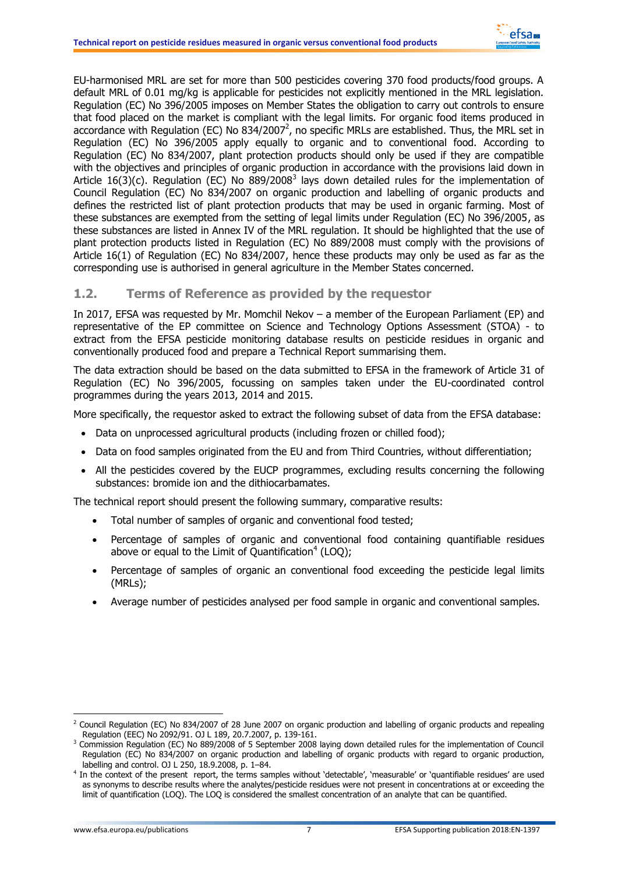

EU-harmonised MRL are set for more than 500 pesticides covering 370 food products/food groups. A default MRL of 0.01 mg/kg is applicable for pesticides not explicitly mentioned in the MRL legislation. Regulation (EC) No 396/2005 imposes on Member States the obligation to carry out controls to ensure that food placed on the market is compliant with the legal limits. For organic food items produced in accordance with Regulation (EC) No 834/2007<sup>2</sup>, no specific MRLs are established. Thus, the MRL set in Regulation (EC) No 396/2005 apply equally to organic and to conventional food. According to Regulation (EC) No 834/2007, plant protection products should only be used if they are compatible with the objectives and principles of organic production in accordance with the provisions laid down in Article 16(3)(c). Regulation (EC) No 889/2008<sup>3</sup> lays down detailed rules for the implementation of Council Regulation (EC) No 834/2007 on organic production and labelling of organic products and defines the restricted list of plant protection products that may be used in organic farming. Most of these substances are exempted from the setting of legal limits under Regulation (EC) No 396/2005, as these substances are listed in Annex IV of the MRL regulation. It should be highlighted that the use of plant protection products listed in Regulation (EC) No 889/2008 must comply with the provisions of Article 16(1) of Regulation (EC) No 834/2007, hence these products may only be used as far as the corresponding use is authorised in general agriculture in the Member States concerned.

#### <span id="page-6-0"></span>**1.2. Terms of Reference as provided by the requestor**

In 2017, EFSA was requested by Mr. Momchil Nekov – a member of the European Parliament (EP) and representative of the EP committee on Science and Technology Options Assessment (STOA) - to extract from the EFSA pesticide monitoring database results on pesticide residues in organic and conventionally produced food and prepare a Technical Report summarising them.

The data extraction should be based on the data submitted to EFSA in the framework of Article 31 of Regulation (EC) No 396/2005, focussing on samples taken under the EU-coordinated control programmes during the years 2013, 2014 and 2015.

More specifically, the requestor asked to extract the following subset of data from the EFSA database:

- Data on unprocessed agricultural products (including frozen or chilled food);
- Data on food samples originated from the EU and from Third Countries, without differentiation;
- All the pesticides covered by the EUCP programmes, excluding results concerning the following substances: bromide ion and the dithiocarbamates.

The technical report should present the following summary, comparative results:

- Total number of samples of organic and conventional food tested;
- Percentage of samples of organic and conventional food containing quantifiable residues above or equal to the Limit of Quantification<sup>4</sup> (LOQ);
- Percentage of samples of organic an conventional food exceeding the pesticide legal limits (MRLs);
- Average number of pesticides analysed per food sample in organic and conventional samples.

 $\overline{\phantom{a}}$  $2$  Council Regulation (EC) No 834/2007 of 28 June 2007 on organic production and labelling of organic products and repealing Regulation (EEC) No 2092/91. OJ L 189, 20.7.2007, p. 139-161.

<sup>&</sup>lt;sup>3</sup> Commission Regulation (EC) No 889/2008 of 5 September 2008 laying down detailed rules for the implementation of Council Regulation (EC) No 834/2007 on organic production and labelling of organic products with regard to organic production, labelling and control. OJ L 250, 18.9.2008, p. 1–84.

<sup>4</sup> In the context of the present report, the terms samples without 'detectable', 'measurable' or 'quantifiable residues' are used as synonyms to describe results where the analytes/pesticide residues were not present in concentrations at or exceeding the limit of quantification (LOQ). The LOQ is considered the smallest concentration of an analyte that can be quantified.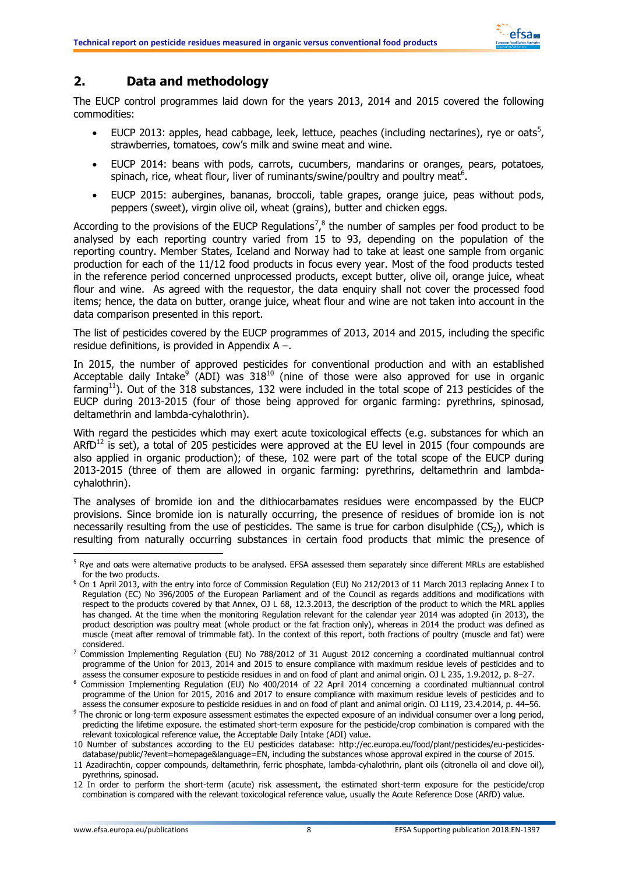

### <span id="page-7-0"></span>**2. Data and methodology**

The EUCP control programmes laid down for the years 2013, 2014 and 2015 covered the following commodities:

- EUCP 2013: apples, head cabbage, leek, lettuce, peaches (including nectarines), rye or oats<sup>5</sup>, strawberries, tomatoes, cow's milk and swine meat and wine.
- EUCP 2014: beans with pods, carrots, cucumbers, mandarins or oranges, pears, potatoes, spinach, rice, wheat flour, liver of ruminants/swine/poultry and poultry meat<sup>6</sup>.
- EUCP 2015: aubergines, bananas, broccoli, table grapes, orange juice, peas without pods, peppers (sweet), virgin olive oil, wheat (grains), butter and chicken eggs.

According to the provisions of the EUCP Regulations<sup>7</sup>,<sup>8</sup> the number of samples per food product to be analysed by each reporting country varied from 15 to 93, depending on the population of the reporting country. Member States, Iceland and Norway had to take at least one sample from organic production for each of the 11/12 food products in focus every year. Most of the food products tested in the reference period concerned unprocessed products, except butter, olive oil, orange juice, wheat flour and wine. As agreed with the requestor, the data enquiry shall not cover the processed food items; hence, the data on butter, orange juice, wheat flour and wine are not taken into account in the data comparison presented in this report.

The list of pesticides covered by the EUCP programmes of 2013, 2014 and 2015, including the specific residue definitions, is provided in Appendix  $A -$ .

In 2015, the number of approved pesticides for conventional production and with an established Acceptable daily Intake<sup>9</sup> (ADI) was 318<sup>10</sup> (nine of those were also approved for use in organic farming<sup>11</sup>). Out of the 318 substances, 132 were included in the total scope of 213 pesticides of the EUCP during 2013-2015 (four of those being approved for organic farming: pyrethrins, spinosad, deltamethrin and lambda-cyhalothrin).

With regard the pesticides which may exert acute toxicological effects (e.g. substances for which an ARfD<sup>12</sup> is set), a total of 205 pesticides were approved at the EU level in 2015 (four compounds are also applied in organic production); of these, 102 were part of the total scope of the EUCP during 2013-2015 (three of them are allowed in organic farming: pyrethrins, deltamethrin and lambdacyhalothrin).

The analyses of bromide ion and the dithiocarbamates residues were encompassed by the EUCP provisions. Since bromide ion is naturally occurring, the presence of residues of bromide ion is not necessarily resulting from the use of pesticides. The same is true for carbon disulphide  $(CS<sub>2</sub>)$ , which is resulting from naturally occurring substances in certain food products that mimic the presence of

 $\overline{\phantom{a}}$ <sup>5</sup> Rye and oats were alternative products to be analysed. EFSA assessed them separately since different MRLs are established for the two products.

<sup>6</sup> On 1 April 2013, with the entry into force of Commission Regulation (EU) No 212/2013 of 11 March 2013 replacing Annex I to Regulation (EC) No 396/2005 of the European Parliament and of the Council as regards additions and modifications with respect to the products covered by that Annex, OJ L 68, 12.3.2013, the description of the product to which the MRL applies has changed. At the time when the monitoring Regulation relevant for the calendar year 2014 was adopted (in 2013), the product description was poultry meat (whole product or the fat fraction only), whereas in 2014 the product was defined as muscle (meat after removal of trimmable fat). In the context of this report, both fractions of poultry (muscle and fat) were considered.

<sup>7</sup> Commission Implementing Regulation (EU) No 788/2012 of 31 August 2012 concerning a coordinated multiannual control programme of the Union for 2013, 2014 and 2015 to ensure compliance with maximum residue levels of pesticides and to assess the consumer exposure to pesticide residues in and on food of plant and animal origin. OJ L 235, 1.9.2012, p. 8–27.

<sup>&</sup>lt;sup>8</sup> Commission Implementing Regulation (EU) No 400/2014 of 22 April 2014 concerning a coordinated multiannual control programme of the Union for 2015, 2016 and 2017 to ensure compliance with maximum residue levels of pesticides and to assess the consumer exposure to pesticide residues in and on food of plant and animal origin. OJ L119, 23.4.2014, p. 44–56.

<sup>&</sup>lt;sup>9</sup> The chronic or long-term exposure assessment estimates the expected exposure of an individual consumer over a long period, predicting the lifetime exposure. the estimated short-term exposure for the pesticide/crop combination is compared with the relevant toxicological reference value, the Acceptable Daily Intake (ADI) value.

<sup>10</sup> Number of substances according to the EU pesticides database: [http://ec.europa.eu/food/plant/pesticides/eu-pesticides](http://ec.europa.eu/food/plant/pesticides/eu-pesticides-database/public/?event=homepage&language=EN)[database/public/?event=homepage&language=EN,](http://ec.europa.eu/food/plant/pesticides/eu-pesticides-database/public/?event=homepage&language=EN) including the substances whose approval expired in the course of 2015.

<sup>11</sup> Azadirachtin, copper compounds, deltamethrin, ferric phosphate, lambda-cyhalothrin, plant oils (citronella oil and clove oil), pyrethrins, spinosad.

<sup>12</sup> In order to perform the short-term (acute) risk assessment, the estimated short-term exposure for the pesticide/crop combination is compared with the relevant toxicological reference value, usually the Acute Reference Dose (ARfD) value.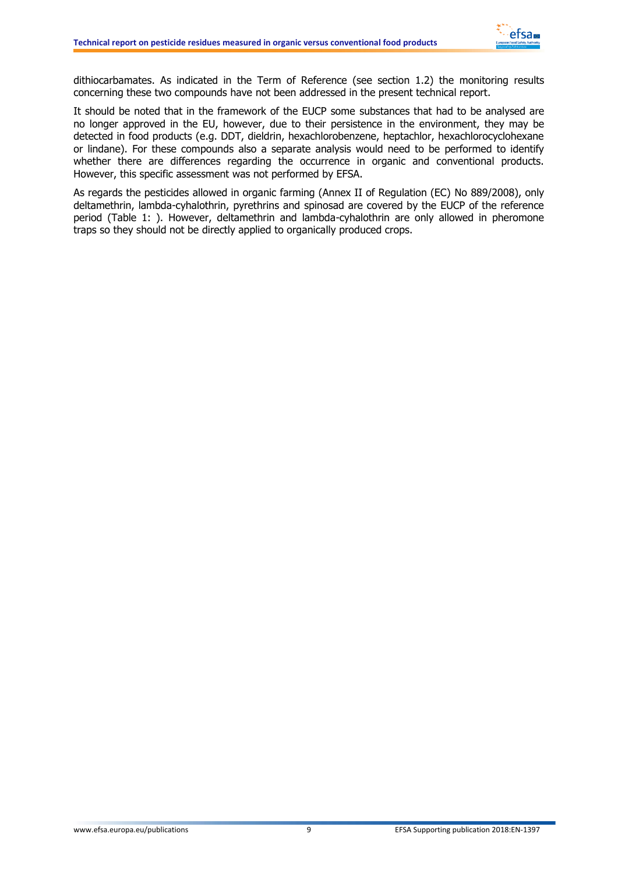

dithiocarbamates. As indicated in the Term of Reference (see section 1.2) the monitoring results concerning these two compounds have not been addressed in the present technical report.

It should be noted that in the framework of the EUCP some substances that had to be analysed are no longer approved in the EU, however, due to their persistence in the environment, they may be detected in food products (e.g. DDT, dieldrin, hexachlorobenzene, heptachlor, hexachlorocyclohexane or lindane). For these compounds also a separate analysis would need to be performed to identify whether there are differences regarding the occurrence in organic and conventional products. However, this specific assessment was not performed by EFSA.

As regards the pesticides allowed in organic farming (Annex II of Regulation (EC) No 889/2008), only deltamethrin, lambda-cyhalothrin, pyrethrins and spinosad are covered by the EUCP of the reference period (Table 1: ). However, deltamethrin and lambda-cyhalothrin are only allowed in pheromone traps so they should not be directly applied to organically produced crops.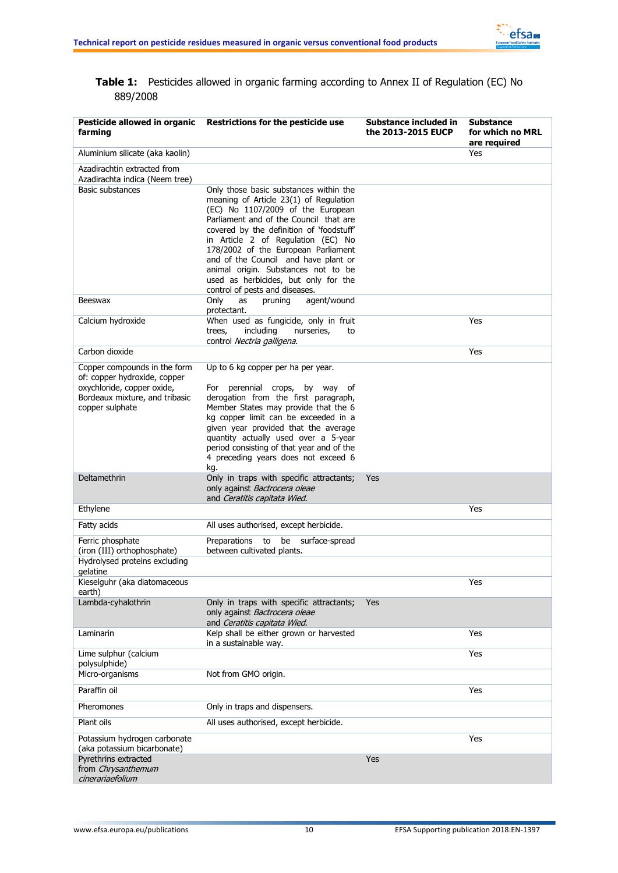

**Table 1:** Pesticides allowed in organic farming according to Annex II of Regulation (EC) No 889/2008

| Pesticide allowed in organic<br>farming                                                                                                         | <b>Restrictions for the pesticide use</b>                                                                                                                                                                                                                                                                                                                                                                                                         | Substance included in<br>the 2013-2015 EUCP | <b>Substance</b><br>for which no MRL<br>are required |
|-------------------------------------------------------------------------------------------------------------------------------------------------|---------------------------------------------------------------------------------------------------------------------------------------------------------------------------------------------------------------------------------------------------------------------------------------------------------------------------------------------------------------------------------------------------------------------------------------------------|---------------------------------------------|------------------------------------------------------|
| Aluminium silicate (aka kaolin)                                                                                                                 |                                                                                                                                                                                                                                                                                                                                                                                                                                                   |                                             | Yes                                                  |
| Azadirachtin extracted from<br>Azadirachta indica (Neem tree)                                                                                   |                                                                                                                                                                                                                                                                                                                                                                                                                                                   |                                             |                                                      |
| <b>Basic substances</b>                                                                                                                         | Only those basic substances within the<br>meaning of Article 23(1) of Regulation<br>(EC) No 1107/2009 of the European<br>Parliament and of the Council that are<br>covered by the definition of 'foodstuff'<br>in Article 2 of Regulation (EC) No<br>178/2002 of the European Parliament<br>and of the Council and have plant or<br>animal origin. Substances not to be<br>used as herbicides, but only for the<br>control of pests and diseases. |                                             |                                                      |
| Beeswax                                                                                                                                         | Only<br>agent/wound<br>as<br>pruning<br>protectant.                                                                                                                                                                                                                                                                                                                                                                                               |                                             |                                                      |
| Calcium hydroxide                                                                                                                               | When used as fungicide, only in fruit<br>including<br>trees,<br>nurseries,<br>to<br>control Nectria galligena.                                                                                                                                                                                                                                                                                                                                    |                                             | Yes                                                  |
| Carbon dioxide                                                                                                                                  |                                                                                                                                                                                                                                                                                                                                                                                                                                                   |                                             | Yes                                                  |
| Copper compounds in the form<br>of: copper hydroxide, copper<br>oxychloride, copper oxide,<br>Bordeaux mixture, and tribasic<br>copper sulphate | Up to 6 kg copper per ha per year.<br>For perennial crops, by way of<br>derogation from the first paragraph,<br>Member States may provide that the 6<br>kg copper limit can be exceeded in a<br>given year provided that the average<br>quantity actually used over a 5-year<br>period consisting of that year and of the<br>4 preceding years does not exceed 6<br>kg.                                                                           |                                             |                                                      |
| Deltamethrin                                                                                                                                    | Only in traps with specific attractants;<br>only against Bactrocera oleae<br>and Ceratitis capitata Wied.                                                                                                                                                                                                                                                                                                                                         | Yes                                         |                                                      |
| Ethylene                                                                                                                                        |                                                                                                                                                                                                                                                                                                                                                                                                                                                   |                                             | Yes                                                  |
| Fatty acids                                                                                                                                     | All uses authorised, except herbicide.                                                                                                                                                                                                                                                                                                                                                                                                            |                                             |                                                      |
| Ferric phosphate<br>(iron (III) orthophosphate)                                                                                                 | Preparations to<br>be<br>surface-spread<br>between cultivated plants.                                                                                                                                                                                                                                                                                                                                                                             |                                             |                                                      |
| Hydrolysed proteins excluding<br>qelatine                                                                                                       |                                                                                                                                                                                                                                                                                                                                                                                                                                                   |                                             |                                                      |
| Kieselguhr (aka diatomaceous<br>earth)                                                                                                          |                                                                                                                                                                                                                                                                                                                                                                                                                                                   |                                             | Yes                                                  |
| Lambda-cyhalothrin                                                                                                                              | Only in traps with specific attractants;<br>only against Bactrocera oleae<br>and Ceratitis capitata Wied.                                                                                                                                                                                                                                                                                                                                         | Yes                                         |                                                      |
| Laminarin                                                                                                                                       | Kelp shall be either grown or harvested<br>in a sustainable way.                                                                                                                                                                                                                                                                                                                                                                                  |                                             | Yes                                                  |
| Lime sulphur (calcium<br>polysulphide)                                                                                                          |                                                                                                                                                                                                                                                                                                                                                                                                                                                   |                                             | Yes                                                  |
| Micro-organisms                                                                                                                                 | Not from GMO origin.                                                                                                                                                                                                                                                                                                                                                                                                                              |                                             |                                                      |
| Paraffin oil                                                                                                                                    |                                                                                                                                                                                                                                                                                                                                                                                                                                                   |                                             | Yes                                                  |
| Pheromones                                                                                                                                      | Only in traps and dispensers.                                                                                                                                                                                                                                                                                                                                                                                                                     |                                             |                                                      |
| Plant oils                                                                                                                                      | All uses authorised, except herbicide.                                                                                                                                                                                                                                                                                                                                                                                                            |                                             |                                                      |
| Potassium hydrogen carbonate<br>(aka potassium bicarbonate)                                                                                     |                                                                                                                                                                                                                                                                                                                                                                                                                                                   |                                             | Yes                                                  |
| Pyrethrins extracted<br>from Chrysanthemum<br>cinerariaefolium                                                                                  |                                                                                                                                                                                                                                                                                                                                                                                                                                                   | Yes                                         |                                                      |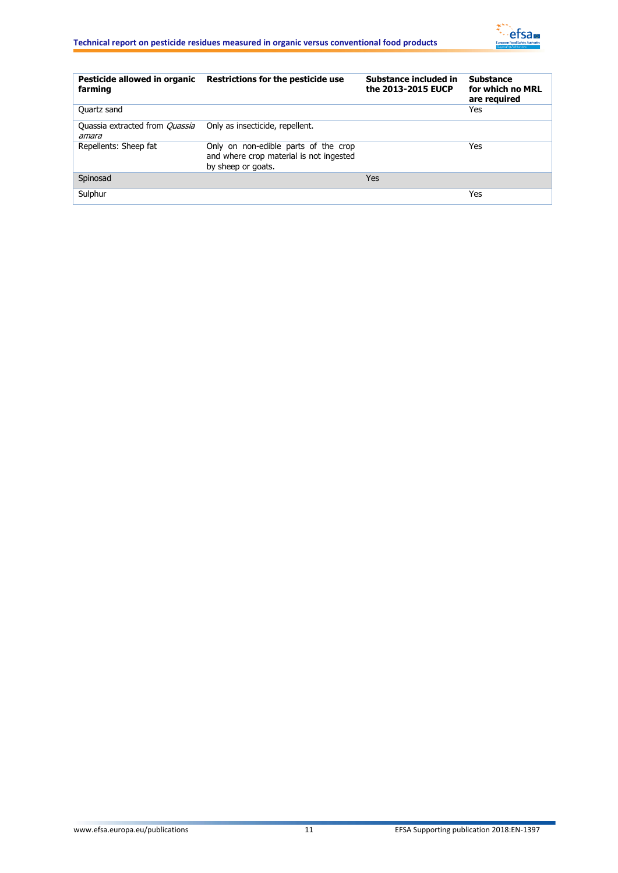

| Pesticide allowed in organic<br>farming        | Restrictions for the pesticide use                                                                    | Substance included in<br>the 2013-2015 EUCP | <b>Substance</b><br>for which no MRL<br>are required |
|------------------------------------------------|-------------------------------------------------------------------------------------------------------|---------------------------------------------|------------------------------------------------------|
| Quartz sand                                    |                                                                                                       |                                             | Yes                                                  |
| Quassia extracted from <i>Quassia</i><br>amara | Only as insecticide, repellent.                                                                       |                                             |                                                      |
| Repellents: Sheep fat                          | Only on non-edible parts of the crop<br>and where crop material is not ingested<br>by sheep or goats. |                                             | Yes                                                  |
| Spinosad                                       |                                                                                                       | Yes                                         |                                                      |
| Sulphur                                        |                                                                                                       |                                             | Yes                                                  |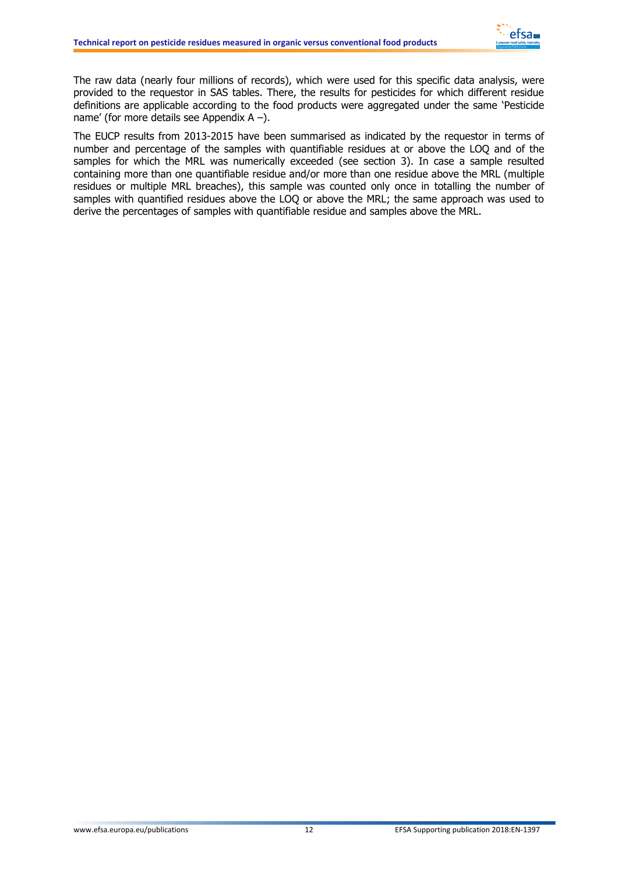

The raw data (nearly four millions of records), which were used for this specific data analysis, were provided to the requestor in SAS tables. There, the results for pesticides for which different residue definitions are applicable according to the food products were aggregated under the same 'Pesticide name' (for more details see Appendix A –).

The EUCP results from 2013-2015 have been summarised as indicated by the requestor in terms of number and percentage of the samples with quantifiable residues at or above the LOQ and of the samples for which the MRL was numerically exceeded (see section 3). In case a sample resulted containing more than one quantifiable residue and/or more than one residue above the MRL (multiple residues or multiple MRL breaches), this sample was counted only once in totalling the number of samples with quantified residues above the LOQ or above the MRL; the same approach was used to derive the percentages of samples with quantifiable residue and samples above the MRL.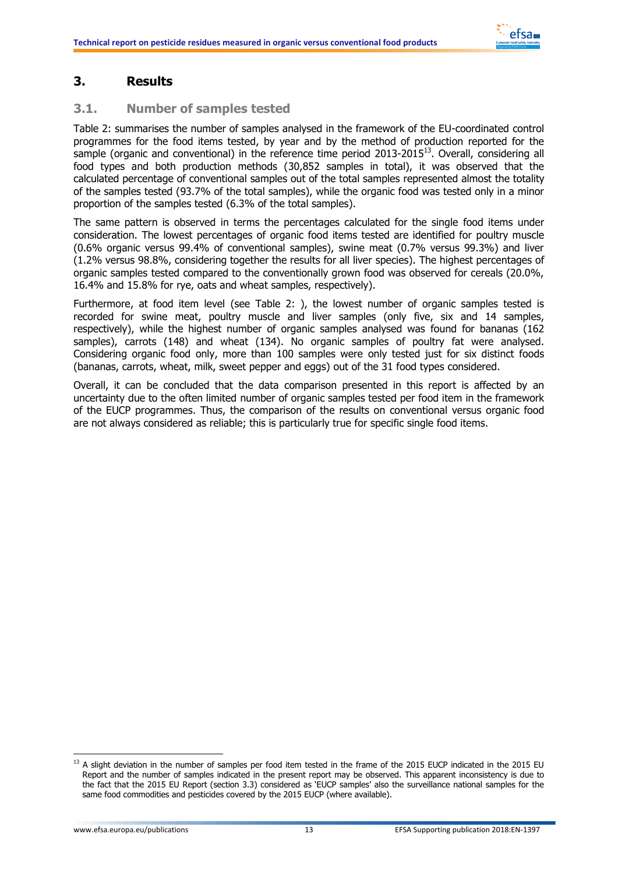

## <span id="page-12-0"></span>**3. Results**

#### <span id="page-12-1"></span>**3.1. Number of samples tested**

Table 2: summarises the number of samples analysed in the framework of the EU-coordinated control programmes for the food items tested, by year and by the method of production reported for the sample (organic and conventional) in the reference time period 2013-2015 $^{13}$ . Overall, considering all food types and both production methods (30,852 samples in total), it was observed that the calculated percentage of conventional samples out of the total samples represented almost the totality of the samples tested (93.7% of the total samples), while the organic food was tested only in a minor proportion of the samples tested (6.3% of the total samples).

The same pattern is observed in terms the percentages calculated for the single food items under consideration. The lowest percentages of organic food items tested are identified for poultry muscle (0.6% organic versus 99.4% of conventional samples), swine meat (0.7% versus 99.3%) and liver (1.2% versus 98.8%, considering together the results for all liver species). The highest percentages of organic samples tested compared to the conventionally grown food was observed for cereals (20.0%, 16.4% and 15.8% for rye, oats and wheat samples, respectively).

Furthermore, at food item level (see Table 2: ), the lowest number of organic samples tested is recorded for swine meat, poultry muscle and liver samples (only five, six and 14 samples, respectively), while the highest number of organic samples analysed was found for bananas (162 samples), carrots (148) and wheat (134). No organic samples of poultry fat were analysed. Considering organic food only, more than 100 samples were only tested just for six distinct foods (bananas, carrots, wheat, milk, sweet pepper and eggs) out of the 31 food types considered.

Overall, it can be concluded that the data comparison presented in this report is affected by an uncertainty due to the often limited number of organic samples tested per food item in the framework of the EUCP programmes. Thus, the comparison of the results on conventional versus organic food are not always considered as reliable; this is particularly true for specific single food items.

 $\overline{a}$ 

 $^{13}$  A slight deviation in the number of samples per food item tested in the frame of the 2015 EUCP indicated in the 2015 EU Report and the number of samples indicated in the present report may be observed. This apparent inconsistency is due to the fact that the 2015 EU Report (section 3.3) considered as 'EUCP samples' also the surveillance national samples for the same food commodities and pesticides covered by the 2015 EUCP (where available).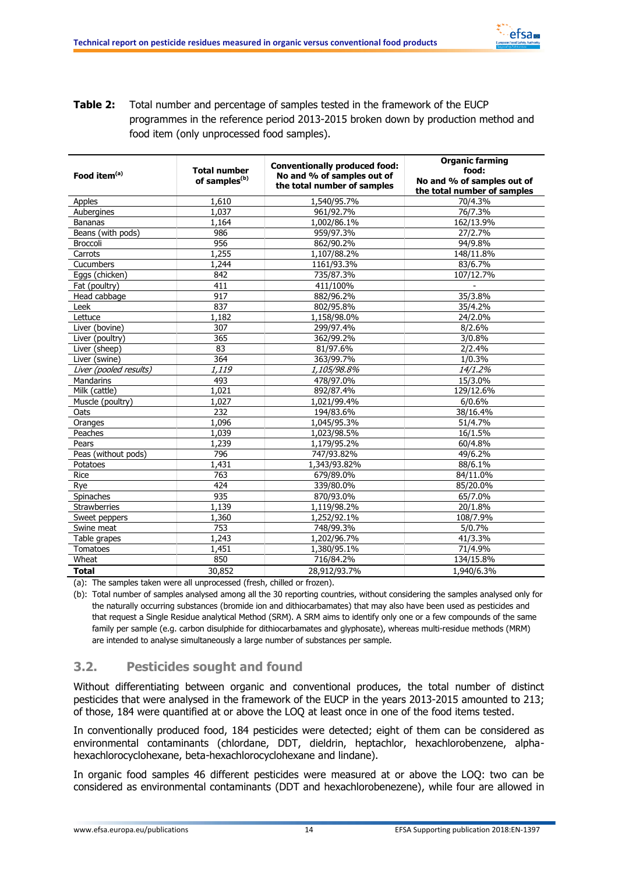

**Table 2:** Total number and percentage of samples tested in the framework of the EUCP programmes in the reference period 2013-2015 broken down by production method and food item (only unprocessed food samples).

| Food item <sup>(a)</sup> | <b>Total number</b><br>of samples <sup>(b)</sup> | <b>Conventionally produced food:</b><br>No and % of samples out of<br>the total number of samples | <b>Organic farming</b><br>food:<br>No and % of samples out of<br>the total number of samples |
|--------------------------|--------------------------------------------------|---------------------------------------------------------------------------------------------------|----------------------------------------------------------------------------------------------|
| Apples                   | 1,610                                            | 1,540/95.7%                                                                                       | 70/4.3%                                                                                      |
| Aubergines               | 1,037                                            | 961/92.7%                                                                                         | 76/7.3%                                                                                      |
| <b>Bananas</b>           | 1.164                                            | 1,002/86.1%                                                                                       | 162/13.9%                                                                                    |
| Beans (with pods)        | 986                                              | 959/97.3%                                                                                         | 27/2.7%                                                                                      |
| Broccoli                 | 956                                              | 862/90.2%                                                                                         | 94/9.8%                                                                                      |
| Carrots                  | 1,255                                            | 1.107/88.2%                                                                                       | 148/11.8%                                                                                    |
| Cucumbers                | 1,244                                            | 1161/93.3%                                                                                        | 83/6.7%                                                                                      |
| Eggs (chicken)           | 842                                              | 735/87.3%                                                                                         | 107/12.7%                                                                                    |
| Fat (poultry)            | 411                                              | 411/100%                                                                                          |                                                                                              |
| Head cabbage             | 917                                              | 882/96.2%                                                                                         | 35/3.8%                                                                                      |
| Leek                     | 837                                              | 802/95.8%                                                                                         | 35/4.2%                                                                                      |
| Lettuce                  | 1,182                                            | 1,158/98.0%                                                                                       | 24/2.0%                                                                                      |
| Liver (bovine)           | 307                                              | 299/97.4%                                                                                         | 8/2.6%                                                                                       |
| Liver (poultry)          | 365                                              | 362/99.2%                                                                                         | 3/0.8%                                                                                       |
| Liver (sheep)            | $\overline{83}$                                  | 81/97.6%                                                                                          | 2/2.4%                                                                                       |
| Liver (swine)            | 364                                              | 363/99.7%                                                                                         | 1/0.3%                                                                                       |
| Liver (pooled results)   | 1,119                                            | 1,105/98.8%                                                                                       | 14/1.2%                                                                                      |
| Mandarins                | 493                                              | 478/97.0%                                                                                         | 15/3.0%                                                                                      |
| Milk (cattle)            | 1,021                                            | 892/87.4%                                                                                         | 129/12.6%                                                                                    |
| Muscle (poultry)         | 1.027                                            | 1,021/99.4%                                                                                       | 6/0.6%                                                                                       |
| Oats                     | 232                                              | 194/83.6%                                                                                         | 38/16.4%                                                                                     |
| Oranges                  | 1,096                                            | 1,045/95.3%                                                                                       | 51/4.7%                                                                                      |
| Peaches                  | 1,039                                            | 1,023/98.5%                                                                                       | 16/1.5%                                                                                      |
| Pears                    | 1,239                                            | 1,179/95.2%                                                                                       | 60/4.8%                                                                                      |
| Peas (without pods)      | 796                                              | 747/93.82%                                                                                        | 49/6.2%                                                                                      |
| Potatoes                 | 1,431                                            | 1,343/93.82%                                                                                      | 88/6.1%                                                                                      |
| <b>Rice</b>              | 763                                              | 679/89.0%                                                                                         | 84/11.0%                                                                                     |
| Rye                      | 424                                              | 339/80.0%                                                                                         | 85/20.0%                                                                                     |
| Spinaches                | 935                                              | 870/93.0%                                                                                         | 65/7.0%                                                                                      |
| <b>Strawberries</b>      | 1,139                                            | 1,119/98.2%                                                                                       | 20/1.8%                                                                                      |
| Sweet peppers            | 1,360                                            | 1,252/92.1%                                                                                       | 108/7.9%                                                                                     |
| Swine meat               | 753                                              | 748/99.3%                                                                                         | 5/0.7%                                                                                       |
| Table grapes             | 1,243                                            | 1,202/96.7%                                                                                       | 41/3.3%                                                                                      |
| Tomatoes                 | 1,451                                            | 1,380/95.1%                                                                                       | 71/4.9%                                                                                      |
| Wheat                    | 850                                              | 716/84.2%                                                                                         | 134/15.8%                                                                                    |
| <b>Total</b>             | 30,852                                           | 28,912/93.7%                                                                                      | 1,940/6.3%                                                                                   |

(a): The samples taken were all unprocessed (fresh, chilled or frozen).

(b): Total number of samples analysed among all the 30 reporting countries, without considering the samples analysed only for the naturally occurring substances (bromide ion and dithiocarbamates) that may also have been used as pesticides and that request a Single Residue analytical Method (SRM). A SRM aims to identify only one or a few compounds of the same family per sample (e.g. carbon disulphide for dithiocarbamates and glyphosate), whereas multi-residue methods (MRM) are intended to analyse simultaneously a large number of substances per sample.

## <span id="page-13-0"></span>**3.2. Pesticides sought and found**

Without differentiating between organic and conventional produces, the total number of distinct pesticides that were analysed in the framework of the EUCP in the years 2013-2015 amounted to 213; of those, 184 were quantified at or above the LOQ at least once in one of the food items tested.

In conventionally produced food, 184 pesticides were detected; eight of them can be considered as environmental contaminants (chlordane, DDT, dieldrin, heptachlor, hexachlorobenzene, alphahexachlorocyclohexane, beta-hexachlorocyclohexane and lindane).

In organic food samples 46 different pesticides were measured at or above the LOQ: two can be considered as environmental contaminants (DDT and hexachlorobenezene), while four are allowed in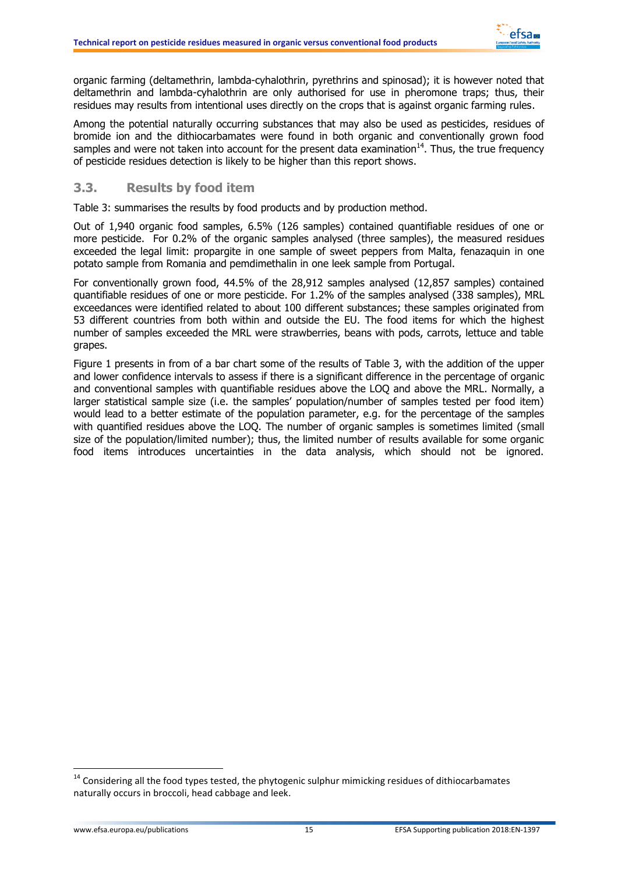

organic farming (deltamethrin, lambda-cyhalothrin, pyrethrins and spinosad); it is however noted that deltamethrin and lambda-cyhalothrin are only authorised for use in pheromone traps; thus, their residues may results from intentional uses directly on the crops that is against organic farming rules.

Among the potential naturally occurring substances that may also be used as pesticides, residues of bromide ion and the dithiocarbamates were found in both organic and conventionally grown food samples and were not taken into account for the present data examination $14$ . Thus, the true frequency of pesticide residues detection is likely to be higher than this report shows.

#### <span id="page-14-0"></span>**3.3. Results by food item**

Table 3: summarises the results by food products and by production method.

Out of 1,940 organic food samples, 6.5% (126 samples) contained quantifiable residues of one or more pesticide. For 0.2% of the organic samples analysed (three samples), the measured residues exceeded the legal limit: propargite in one sample of sweet peppers from Malta, fenazaquin in one potato sample from Romania and pemdimethalin in one leek sample from Portugal.

For conventionally grown food, 44.5% of the 28,912 samples analysed (12,857 samples) contained quantifiable residues of one or more pesticide. For 1.2% of the samples analysed (338 samples), MRL exceedances were identified related to about 100 different substances; these samples originated from 53 different countries from both within and outside the EU. The food items for which the highest number of samples exceeded the MRL were strawberries, beans with pods, carrots, lettuce and table grapes.

Figure 1 presents in from of a bar chart some of the results of Table 3, with the addition of the upper and lower confidence intervals to assess if there is a significant difference in the percentage of organic and conventional samples with quantifiable residues above the LOQ and above the MRL. Normally, a larger statistical sample size (i.e. the samples' population/number of samples tested per food item) would lead to a better estimate of the population parameter, e.g. for the percentage of the samples with quantified residues above the LOQ. The number of organic samples is sometimes limited (small size of the population/limited number); thus, the limited number of results available for some organic food items introduces uncertainties in the data analysis, which should not be ignored.

 $\overline{a}$ 

<sup>&</sup>lt;sup>14</sup> Considering all the food types tested, the phytogenic sulphur mimicking residues of dithiocarbamates naturally occurs in broccoli, head cabbage and leek.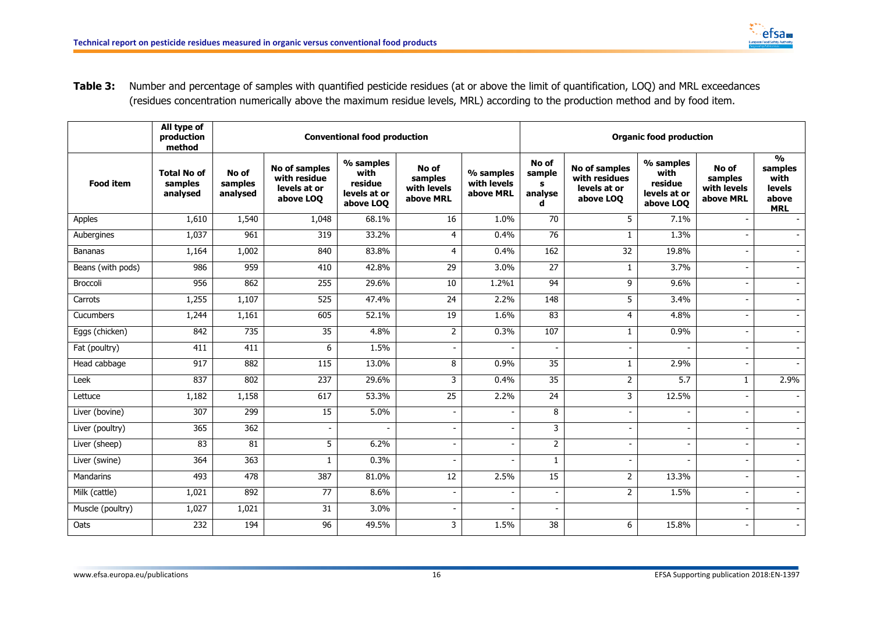Table 3: Number and percentage of samples with quantified pesticide residues (at or above the limit of quantification, LOQ) and MRL exceedances (residues concentration numerically above the maximum residue levels, MRL) according to the production method and by food item.

|                   | All type of<br>production<br>method       |                              | <b>Conventional food production</b>                               |                                                           |                                              |                                       |                                      |                                                             | <b>Organic food production</b>                            |                                              |                                                                          |
|-------------------|-------------------------------------------|------------------------------|-------------------------------------------------------------------|-----------------------------------------------------------|----------------------------------------------|---------------------------------------|--------------------------------------|-------------------------------------------------------------|-----------------------------------------------------------|----------------------------------------------|--------------------------------------------------------------------------|
| <b>Food item</b>  | <b>Total No of</b><br>samples<br>analysed | No of<br>samples<br>analysed | <b>No of samples</b><br>with residue<br>levels at or<br>above LOO | % samples<br>with<br>residue<br>levels at or<br>above LOO | No of<br>samples<br>with levels<br>above MRL | % samples<br>with levels<br>above MRL | No of<br>sample<br>s<br>analyse<br>d | No of samples<br>with residues<br>levels at or<br>above LOO | % samples<br>with<br>residue<br>levels at or<br>above LOO | No of<br>samples<br>with levels<br>above MRL | $\frac{0}{0}$<br>samples<br>with<br><b>levels</b><br>above<br><b>MRL</b> |
| Apples            | 1,610                                     | 1,540                        | 1,048                                                             | 68.1%                                                     | 16                                           | 1.0%                                  | $\overline{70}$                      | 5                                                           | 7.1%                                                      |                                              |                                                                          |
| Aubergines        | 1,037                                     | 961                          | 319                                                               | 33.2%                                                     | $\overline{4}$                               | 0.4%                                  | 76                                   | $\mathbf{1}$                                                | 1.3%                                                      |                                              |                                                                          |
| <b>Bananas</b>    | 1,164                                     | 1,002                        | 840                                                               | 83.8%                                                     | $\overline{4}$                               | 0.4%                                  | 162                                  | $\overline{32}$                                             | 19.8%                                                     |                                              |                                                                          |
| Beans (with pods) | 986                                       | 959                          | 410                                                               | 42.8%                                                     | 29                                           | 3.0%                                  | 27                                   | 1                                                           | 3.7%                                                      |                                              |                                                                          |
| Broccoli          | 956                                       | 862                          | 255                                                               | 29.6%                                                     | 10                                           | 1.2%1                                 | 94                                   | 9                                                           | 9.6%                                                      |                                              |                                                                          |
| Carrots           | 1,255                                     | 1,107                        | $\overline{525}$                                                  | 47.4%                                                     | $\overline{24}$                              | 2.2%                                  | 148                                  | 5                                                           | 3.4%                                                      |                                              |                                                                          |
| Cucumbers         | 1,244                                     | 1,161                        | 605                                                               | 52.1%                                                     | 19                                           | 1.6%                                  | 83                                   | $\overline{4}$                                              | 4.8%                                                      |                                              |                                                                          |
| Eggs (chicken)    | 842                                       | 735                          | $\overline{35}$                                                   | 4.8%                                                      | $\overline{2}$                               | 0.3%                                  | 107                                  | 1                                                           | 0.9%                                                      |                                              |                                                                          |
| Fat (poultry)     | 411                                       | 411                          | 6                                                                 | 1.5%                                                      | $\sim$                                       |                                       |                                      |                                                             |                                                           |                                              |                                                                          |
| Head cabbage      | 917                                       | 882                          | 115                                                               | 13.0%                                                     | 8                                            | 0.9%                                  | 35                                   | 1                                                           | 2.9%                                                      |                                              |                                                                          |
| Leek              | 837                                       | 802                          | 237                                                               | 29.6%                                                     | 3                                            | 0.4%                                  | $\overline{35}$                      | 2                                                           | 5.7                                                       | 1                                            | 2.9%                                                                     |
| Lettuce           | 1,182                                     | 1,158                        | 617                                                               | 53.3%                                                     | $\overline{25}$                              | 2.2%                                  | 24                                   | 3                                                           | 12.5%                                                     |                                              |                                                                          |
| Liver (bovine)    | 307                                       | 299                          | 15                                                                | 5.0%                                                      | $\sim$                                       | ÷                                     | 8                                    |                                                             |                                                           |                                              |                                                                          |
| Liver (poultry)   | 365                                       | 362                          | $\overline{\phantom{a}}$                                          |                                                           | $\blacksquare$                               | $\sim$                                | 3                                    | L,                                                          | $\blacksquare$                                            |                                              | $\sim$                                                                   |
| Liver (sheep)     | 83                                        | 81                           | 5                                                                 | 6.2%                                                      | $\overline{\phantom{a}}$                     | $\overline{a}$                        | $\overline{2}$                       |                                                             | $\overline{\phantom{a}}$                                  |                                              |                                                                          |
| Liver (swine)     | 364                                       | 363                          | 1                                                                 | 0.3%                                                      |                                              |                                       | $\mathbf{1}$                         |                                                             |                                                           |                                              |                                                                          |
| Mandarins         | 493                                       | 478                          | 387                                                               | 81.0%                                                     | 12                                           | 2.5%                                  | 15                                   | 2                                                           | 13.3%                                                     |                                              |                                                                          |
| Milk (cattle)     | 1,021                                     | 892                          | 77                                                                | 8.6%                                                      |                                              |                                       |                                      | 2                                                           | 1.5%                                                      |                                              |                                                                          |
| Muscle (poultry)  | 1,027                                     | 1,021                        | 31                                                                | 3.0%                                                      | $\overline{\phantom{a}}$                     |                                       |                                      |                                                             |                                                           |                                              |                                                                          |
| Oats              | 232                                       | 194                          | 96                                                                | 49.5%                                                     | 3                                            | 1.5%                                  | 38                                   | 6                                                           | 15.8%                                                     |                                              |                                                                          |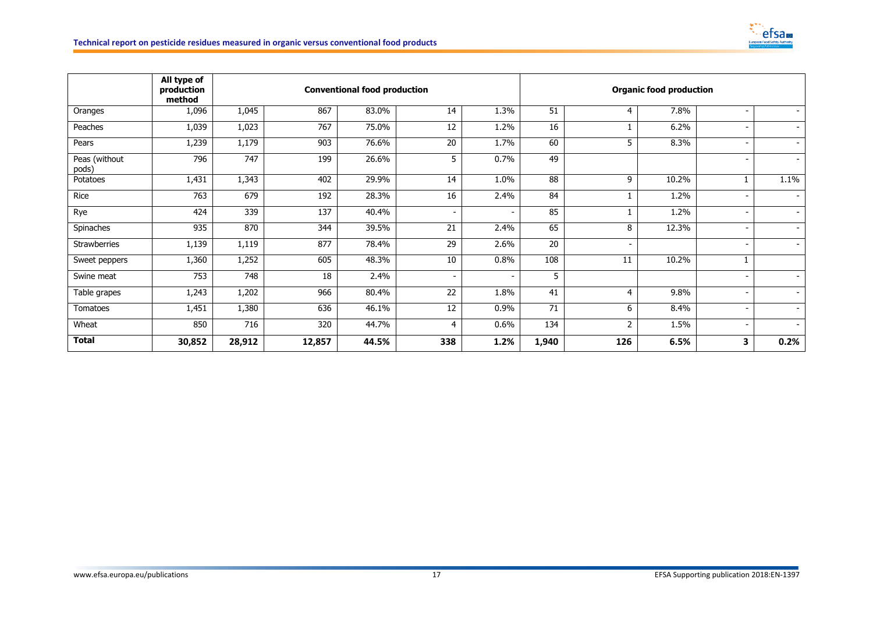

|                        | All type of<br>production<br>method |        |        | <b>Conventional food production</b> |                          |                          |       |                | <b>Organic food production</b> |   |                          |
|------------------------|-------------------------------------|--------|--------|-------------------------------------|--------------------------|--------------------------|-------|----------------|--------------------------------|---|--------------------------|
| Oranges                | 1,096                               | 1,045  | 867    | 83.0%                               | 14                       | 1.3%                     | 51    | 4              | 7.8%                           |   | $\sim$                   |
| Peaches                | 1,039                               | 1,023  | 767    | 75.0%                               | 12                       | 1.2%                     | 16    |                | 6.2%                           |   | $\overline{\phantom{a}}$ |
| Pears                  | 1,239                               | 1,179  | 903    | 76.6%                               | 20                       | 1.7%                     | 60    | 5              | 8.3%                           |   | $\sim$                   |
| Peas (without<br>pods) | 796                                 | 747    | 199    | 26.6%                               | 5                        | 0.7%                     | 49    |                |                                |   | $\sim$                   |
| Potatoes               | 1,431                               | 1,343  | 402    | 29.9%                               | 14                       | 1.0%                     | 88    | 9              | 10.2%                          |   | 1.1%                     |
| Rice                   | 763                                 | 679    | 192    | 28.3%                               | 16                       | 2.4%                     | 84    |                | 1.2%                           |   | $\overline{\phantom{a}}$ |
| Rye                    | 424                                 | 339    | 137    | 40.4%                               | $\overline{\phantom{a}}$ |                          | 85    |                | 1.2%                           |   | $\sim$                   |
| Spinaches              | 935                                 | 870    | 344    | 39.5%                               | 21                       | 2.4%                     | 65    | 8              | 12.3%                          |   | $\sim$                   |
| Strawberries           | 1,139                               | 1,119  | 877    | 78.4%                               | 29                       | 2.6%                     | 20    |                |                                |   | $\sim$                   |
| Sweet peppers          | 1,360                               | 1,252  | 605    | 48.3%                               | 10                       | 0.8%                     | 108   | 11             | 10.2%                          |   |                          |
| Swine meat             | 753                                 | 748    | 18     | 2.4%                                | $\overline{\phantom{a}}$ | $\overline{\phantom{a}}$ | 5     |                |                                |   | $\sim$                   |
| Table grapes           | 1,243                               | 1,202  | 966    | 80.4%                               | 22                       | 1.8%                     | 41    | $\overline{4}$ | 9.8%                           |   | $\sim$                   |
| Tomatoes               | 1,451                               | 1,380  | 636    | 46.1%                               | 12                       | 0.9%                     | 71    | 6              | 8.4%                           |   | $\sim$                   |
| Wheat                  | 850                                 | 716    | 320    | 44.7%                               | 4                        | 0.6%                     | 134   | 2              | 1.5%                           |   | $\sim$                   |
| <b>Total</b>           | 30,852                              | 28,912 | 12,857 | 44.5%                               | 338                      | 1.2%                     | 1,940 | 126            | 6.5%                           | 3 | 0.2%                     |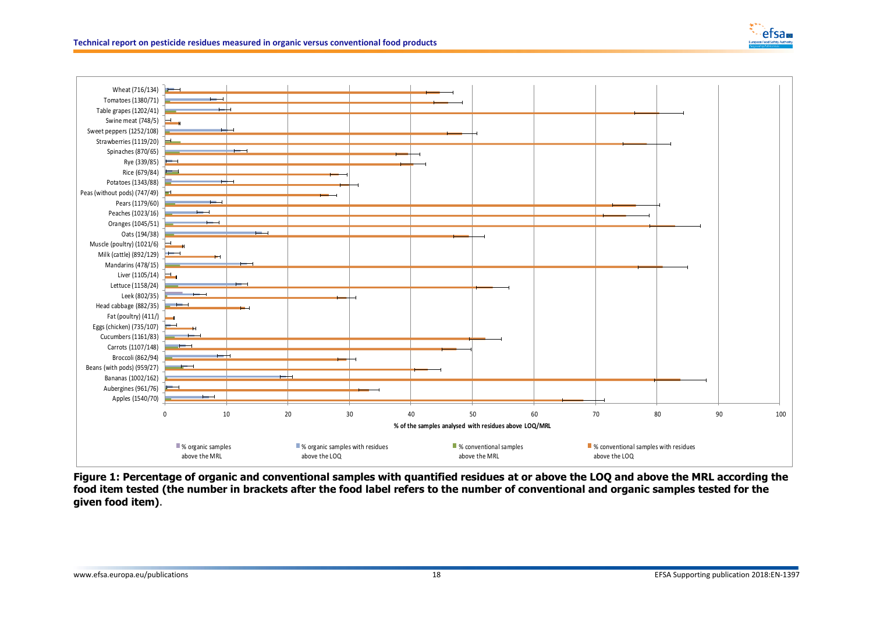



**Figure 1: Percentage of organic and conventional samples with quantified residues at or above the LOQ and above the MRL according the food item tested (the number in brackets after the food label refers to the number of conventional and organic samples tested for the given food item)**.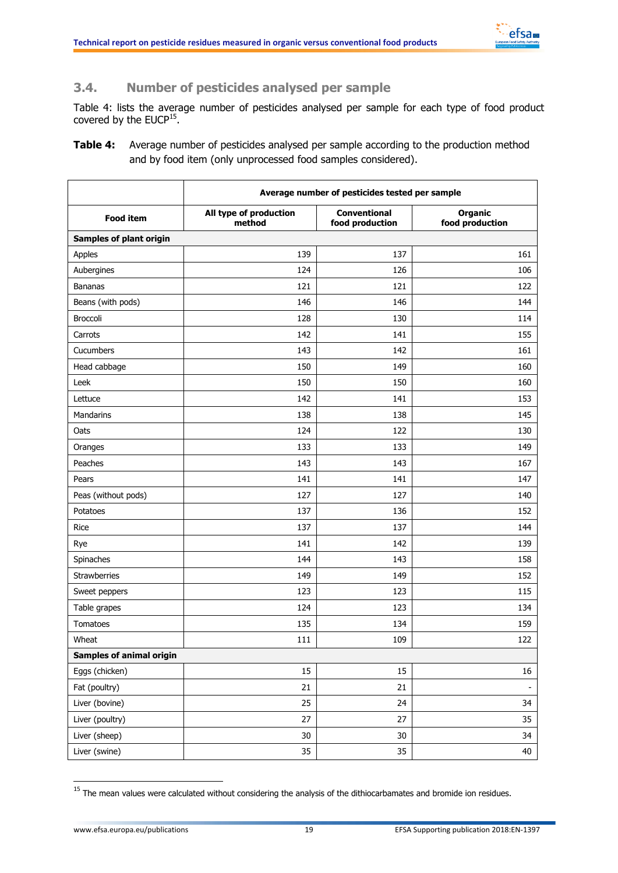

## <span id="page-18-0"></span>**3.4. Number of pesticides analysed per sample**

Table 4: lists the average number of pesticides analysed per sample for each type of food product covered by the  $\mathsf{EUCP}^{15}.$ 

#### **Table 4:** Average number of pesticides analysed per sample according to the production method and by food item (only unprocessed food samples considered).

|                                 | Average number of pesticides tested per sample |                                        |                                   |  |  |
|---------------------------------|------------------------------------------------|----------------------------------------|-----------------------------------|--|--|
| <b>Food item</b>                | All type of production<br>method               | <b>Conventional</b><br>food production | <b>Organic</b><br>food production |  |  |
| <b>Samples of plant origin</b>  |                                                |                                        |                                   |  |  |
| Apples                          | 139                                            | 137                                    | 161                               |  |  |
| Aubergines                      | 124                                            | 126                                    | 106                               |  |  |
| <b>Bananas</b>                  | 121                                            | 121                                    | 122                               |  |  |
| Beans (with pods)               | 146                                            | 146                                    | 144                               |  |  |
| Broccoli                        | 128                                            | 130                                    | 114                               |  |  |
| Carrots                         | 142                                            | 141                                    | 155                               |  |  |
| Cucumbers                       | 143                                            | 142                                    | 161                               |  |  |
| Head cabbage                    | 150                                            | 149                                    | 160                               |  |  |
| Leek                            | 150                                            | 150                                    | 160                               |  |  |
| Lettuce                         | 142                                            | 141                                    | 153                               |  |  |
| Mandarins                       | 138                                            | 138                                    | 145                               |  |  |
| Oats                            | 124                                            | 122                                    | 130                               |  |  |
| Oranges                         | 133                                            | 133                                    | 149                               |  |  |
| Peaches                         | 143                                            | 143                                    | 167                               |  |  |
| Pears                           | 141                                            | 141                                    | 147                               |  |  |
| Peas (without pods)             | 127                                            | 127                                    | 140                               |  |  |
| Potatoes                        | 137                                            | 136                                    | 152                               |  |  |
| Rice                            | 137                                            | 137                                    | 144                               |  |  |
| Rye                             | 141                                            | 142                                    | 139                               |  |  |
| Spinaches                       | 144                                            | 143                                    | 158                               |  |  |
| <b>Strawberries</b>             | 149                                            | 149                                    | 152                               |  |  |
| Sweet peppers                   | 123                                            | 123                                    | 115                               |  |  |
| Table grapes                    | 124                                            | 123                                    | 134                               |  |  |
| Tomatoes                        | 135                                            | 134                                    | 159                               |  |  |
| Wheat                           | 111                                            | 109                                    | 122                               |  |  |
| <b>Samples of animal origin</b> |                                                |                                        |                                   |  |  |
| Eggs (chicken)                  | 15                                             | 15                                     | 16                                |  |  |
| Fat (poultry)                   | 21                                             | 21                                     |                                   |  |  |
| Liver (bovine)                  | 25                                             | 24                                     | 34                                |  |  |
| Liver (poultry)                 | 27                                             | 27                                     | 35                                |  |  |
| Liver (sheep)                   | $30\,$                                         | $30\,$                                 | 34                                |  |  |
| Liver (swine)                   | 35                                             | 35                                     | 40                                |  |  |

 $^{15}$  The mean values were calculated without considering the analysis of the dithiocarbamates and bromide ion residues.

 $\overline{\phantom{a}}$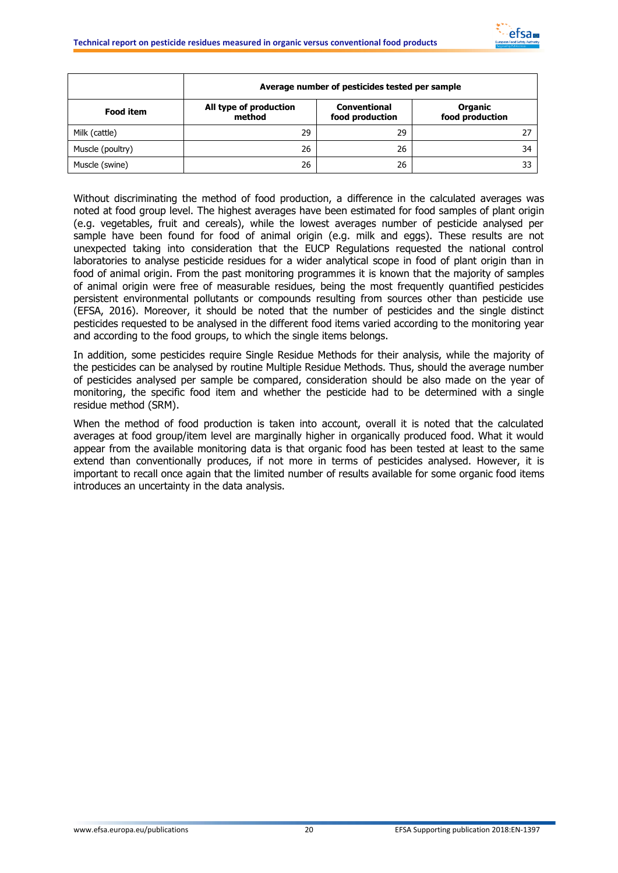

|                  | Average number of pesticides tested per sample |                                 |                            |  |  |  |
|------------------|------------------------------------------------|---------------------------------|----------------------------|--|--|--|
| <b>Food item</b> | All type of production<br>method               | Conventional<br>food production | Organic<br>food production |  |  |  |
| Milk (cattle)    | 29                                             | 29                              |                            |  |  |  |
| Muscle (poultry) | 26                                             | 26                              | 34                         |  |  |  |
| Muscle (swine)   | 26                                             | 26                              |                            |  |  |  |

Without discriminating the method of food production, a difference in the calculated averages was noted at food group level. The highest averages have been estimated for food samples of plant origin (e.g. vegetables, fruit and cereals), while the lowest averages number of pesticide analysed per sample have been found for food of animal origin (e.g. milk and eggs). These results are not unexpected taking into consideration that the EUCP Regulations requested the national control laboratories to analyse pesticide residues for a wider analytical scope in food of plant origin than in food of animal origin. From the past monitoring programmes it is known that the majority of samples of animal origin were free of measurable residues, being the most frequently quantified pesticides persistent environmental pollutants or compounds resulting from sources other than pesticide use (EFSA, 2016). Moreover, it should be noted that the number of pesticides and the single distinct pesticides requested to be analysed in the different food items varied according to the monitoring year and according to the food groups, to which the single items belongs.

In addition, some pesticides require Single Residue Methods for their analysis, while the majority of the pesticides can be analysed by routine Multiple Residue Methods. Thus, should the average number of pesticides analysed per sample be compared, consideration should be also made on the year of monitoring, the specific food item and whether the pesticide had to be determined with a single residue method (SRM).

When the method of food production is taken into account, overall it is noted that the calculated averages at food group/item level are marginally higher in organically produced food. What it would appear from the available monitoring data is that organic food has been tested at least to the same extend than conventionally produces, if not more in terms of pesticides analysed. However, it is important to recall once again that the limited number of results available for some organic food items introduces an uncertainty in the data analysis.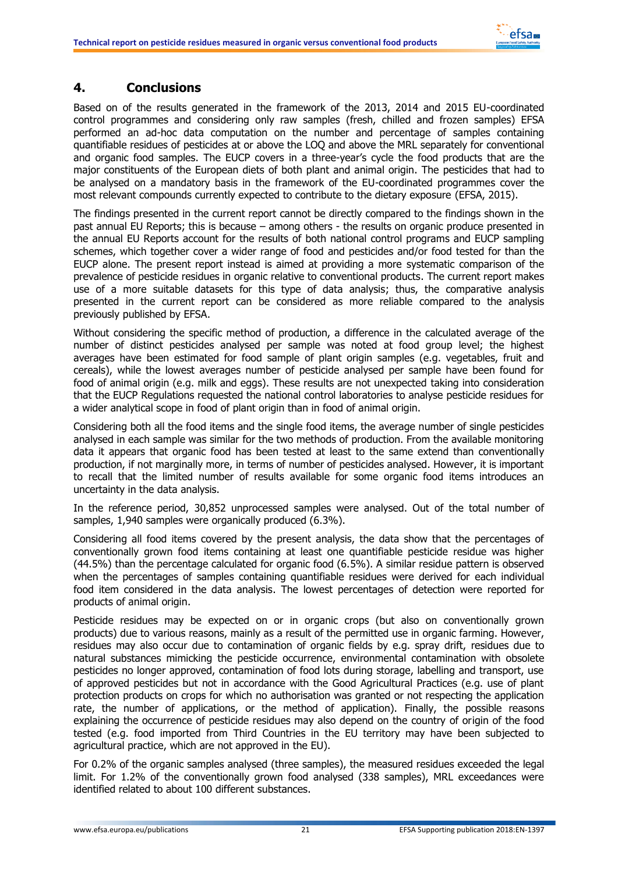

## <span id="page-20-0"></span>**4. Conclusions**

Based on of the results generated in the framework of the 2013, 2014 and 2015 EU-coordinated control programmes and considering only raw samples (fresh, chilled and frozen samples) EFSA performed an ad-hoc data computation on the number and percentage of samples containing quantifiable residues of pesticides at or above the LOQ and above the MRL separately for conventional and organic food samples. The EUCP covers in a three-year's cycle the food products that are the major constituents of the European diets of both plant and animal origin. The pesticides that had to be analysed on a mandatory basis in the framework of the EU-coordinated programmes cover the most relevant compounds currently expected to contribute to the dietary exposure (EFSA, 2015).

The findings presented in the current report cannot be directly compared to the findings shown in the past annual EU Reports; this is because – among others - the results on organic produce presented in the annual EU Reports account for the results of both national control programs and EUCP sampling schemes, which together cover a wider range of food and pesticides and/or food tested for than the EUCP alone. The present report instead is aimed at providing a more systematic comparison of the prevalence of pesticide residues in organic relative to conventional products. The current report makes use of a more suitable datasets for this type of data analysis; thus, the comparative analysis presented in the current report can be considered as more reliable compared to the analysis previously published by EFSA.

Without considering the specific method of production, a difference in the calculated average of the number of distinct pesticides analysed per sample was noted at food group level; the highest averages have been estimated for food sample of plant origin samples (e.g. vegetables, fruit and cereals), while the lowest averages number of pesticide analysed per sample have been found for food of animal origin (e.g. milk and eggs). These results are not unexpected taking into consideration that the EUCP Regulations requested the national control laboratories to analyse pesticide residues for a wider analytical scope in food of plant origin than in food of animal origin.

Considering both all the food items and the single food items, the average number of single pesticides analysed in each sample was similar for the two methods of production. From the available monitoring data it appears that organic food has been tested at least to the same extend than conventionally production, if not marginally more, in terms of number of pesticides analysed. However, it is important to recall that the limited number of results available for some organic food items introduces an uncertainty in the data analysis.

In the reference period, 30,852 unprocessed samples were analysed. Out of the total number of samples, 1,940 samples were organically produced (6.3%).

Considering all food items covered by the present analysis, the data show that the percentages of conventionally grown food items containing at least one quantifiable pesticide residue was higher (44.5%) than the percentage calculated for organic food (6.5%). A similar residue pattern is observed when the percentages of samples containing quantifiable residues were derived for each individual food item considered in the data analysis. The lowest percentages of detection were reported for products of animal origin.

Pesticide residues may be expected on or in organic crops (but also on conventionally grown products) due to various reasons, mainly as a result of the permitted use in organic farming. However, residues may also occur due to contamination of organic fields by e.g. spray drift, residues due to natural substances mimicking the pesticide occurrence, environmental contamination with obsolete pesticides no longer approved, contamination of food lots during storage, labelling and transport, use of approved pesticides but not in accordance with the Good Agricultural Practices (e.g. use of plant protection products on crops for which no authorisation was granted or not respecting the application rate, the number of applications, or the method of application). Finally, the possible reasons explaining the occurrence of pesticide residues may also depend on the country of origin of the food tested (e.g. food imported from Third Countries in the EU territory may have been subjected to agricultural practice, which are not approved in the EU).

For 0.2% of the organic samples analysed (three samples), the measured residues exceeded the legal limit. For 1.2% of the conventionally grown food analysed (338 samples), MRL exceedances were identified related to about 100 different substances.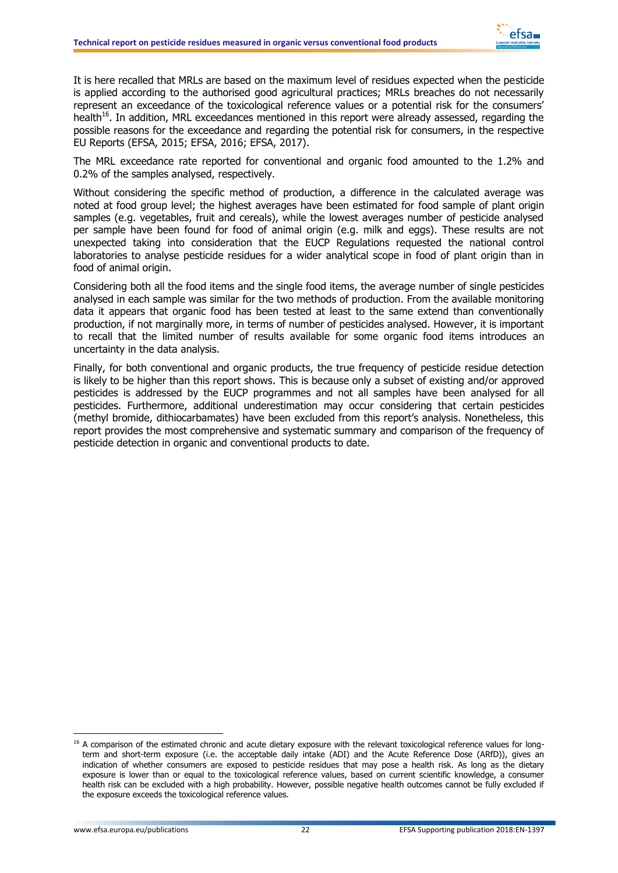

It is here recalled that MRLs are based on the maximum level of residues expected when the pesticide is applied according to the authorised good agricultural practices; MRLs breaches do not necessarily represent an exceedance of the toxicological reference values or a potential risk for the consumers' health<sup>16</sup>. In addition, MRL exceedances mentioned in this report were already assessed, regarding the possible reasons for the exceedance and regarding the potential risk for consumers, in the respective EU Reports (EFSA, 2015; EFSA, 2016; EFSA, 2017).

The MRL exceedance rate reported for conventional and organic food amounted to the 1.2% and 0.2% of the samples analysed, respectively.

Without considering the specific method of production, a difference in the calculated average was noted at food group level; the highest averages have been estimated for food sample of plant origin samples (e.g. vegetables, fruit and cereals), while the lowest averages number of pesticide analysed per sample have been found for food of animal origin (e.g. milk and eggs). These results are not unexpected taking into consideration that the EUCP Regulations requested the national control laboratories to analyse pesticide residues for a wider analytical scope in food of plant origin than in food of animal origin.

Considering both all the food items and the single food items, the average number of single pesticides analysed in each sample was similar for the two methods of production. From the available monitoring data it appears that organic food has been tested at least to the same extend than conventionally production, if not marginally more, in terms of number of pesticides analysed. However, it is important to recall that the limited number of results available for some organic food items introduces an uncertainty in the data analysis.

Finally, for both conventional and organic products, the true frequency of pesticide residue detection is likely to be higher than this report shows. This is because only a subset of existing and/or approved pesticides is addressed by the EUCP programmes and not all samples have been analysed for all pesticides. Furthermore, additional underestimation may occur considering that certain pesticides (methyl bromide, dithiocarbamates) have been excluded from this report's analysis. Nonetheless, this report provides the most comprehensive and systematic summary and comparison of the frequency of pesticide detection in organic and conventional products to date.

 $\overline{\phantom{a}}$ 

 $16$  A comparison of the estimated chronic and acute dietary exposure with the relevant toxicological reference values for longterm and short-term exposure (i.e. the acceptable daily intake (ADI) and the Acute Reference Dose (ARfD)), gives an indication of whether consumers are exposed to pesticide residues that may pose a health risk. As long as the dietary exposure is lower than or equal to the toxicological reference values, based on current scientific knowledge, a consumer health risk can be excluded with a high probability. However, possible negative health outcomes cannot be fully excluded if the exposure exceeds the toxicological reference values.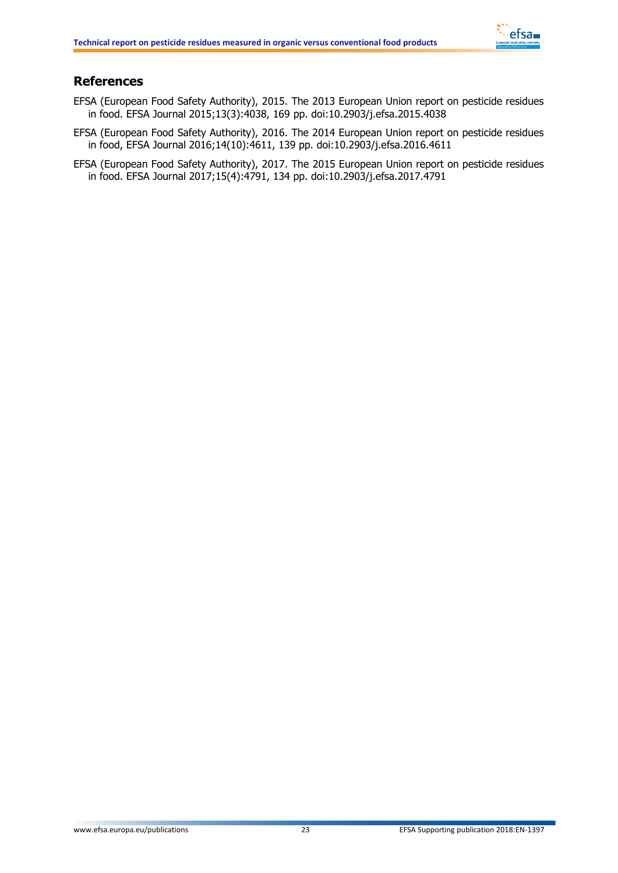

## <span id="page-22-0"></span>**References**

- EFSA (European Food Safety Authority), 2015. The 2013 European Union report on pesticide residues in food. EFSA Journal 2015;13(3):4038, 169 pp. doi:10.2903/j.efsa.2015.4038
- EFSA (European Food Safety Authority), 2016. The 2014 European Union report on pesticide residues in food, EFSA Journal 2016;14(10):4611, 139 pp. doi:10.2903/j.efsa.2016.4611
- EFSA (European Food Safety Authority), 2017. The 2015 European Union report on pesticide residues in food. EFSA Journal 2017;15(4):4791, 134 pp. doi:10.2903/j.efsa.2017.4791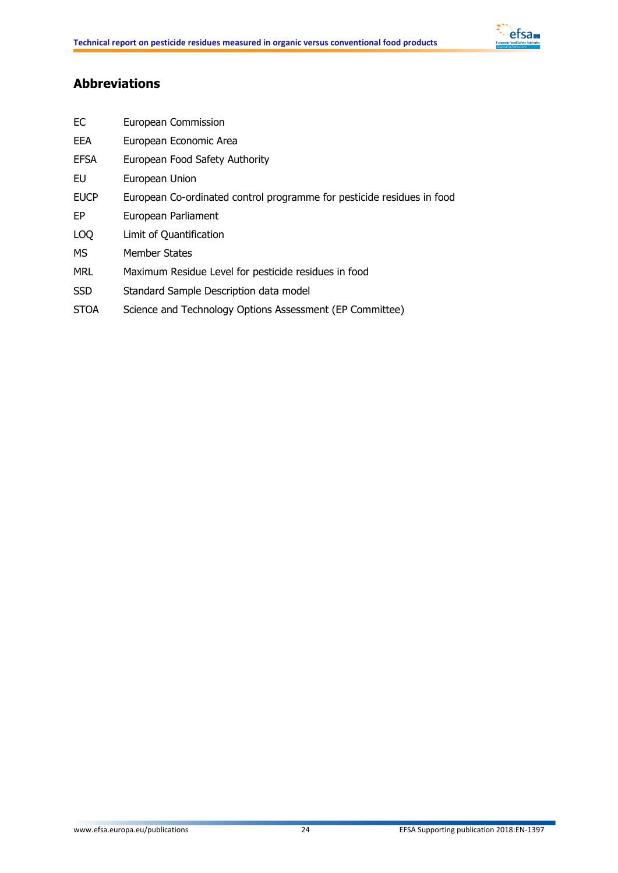

## <span id="page-23-0"></span>**Abbreviations**

| EC          | European Commission                                                    |
|-------------|------------------------------------------------------------------------|
| <b>EEA</b>  | European Economic Area                                                 |
| <b>EFSA</b> | European Food Safety Authority                                         |
| EU          | European Union                                                         |
| <b>EUCP</b> | European Co-ordinated control programme for pesticide residues in food |
| <b>EP</b>   | European Parliament                                                    |
| LOQ         | Limit of Quantification                                                |
| МS          | Member States                                                          |
| <b>MRL</b>  | Maximum Residue Level for pesticide residues in food                   |
| <b>SSD</b>  | Standard Sample Description data model                                 |
| <b>STOA</b> | Science and Technology Options Assessment (EP Committee)               |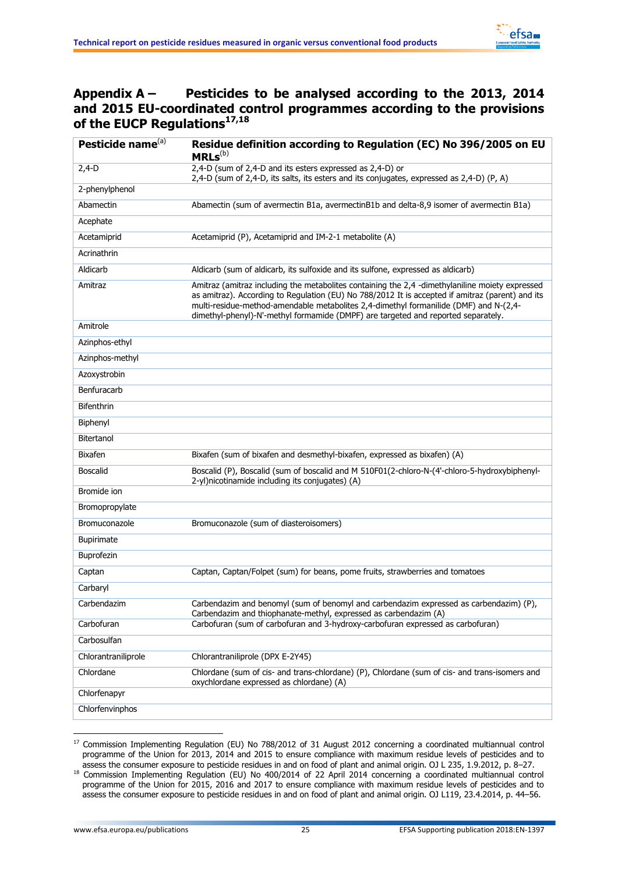

## <span id="page-24-0"></span>**Appendix A – Pesticides to be analysed according to the 2013, 2014 and 2015 EU-coordinated control programmes according to the provisions of the EUCP Regulations17,18**

| Pesticide name $(a)$ | Residue definition according to Regulation (EC) No 396/2005 on EU<br>$MRLs^{(b)}$                                                                                                                                                                                                                                                                                                 |
|----------------------|-----------------------------------------------------------------------------------------------------------------------------------------------------------------------------------------------------------------------------------------------------------------------------------------------------------------------------------------------------------------------------------|
| $2,4-D$              | 2,4-D (sum of 2,4-D and its esters expressed as 2,4-D) or<br>2,4-D (sum of 2,4-D, its salts, its esters and its conjugates, expressed as 2,4-D) (P, A)                                                                                                                                                                                                                            |
| 2-phenylphenol       |                                                                                                                                                                                                                                                                                                                                                                                   |
| Abamectin            | Abamectin (sum of avermectin B1a, avermectinB1b and delta-8,9 isomer of avermectin B1a)                                                                                                                                                                                                                                                                                           |
| Acephate             |                                                                                                                                                                                                                                                                                                                                                                                   |
| Acetamiprid          | Acetamiprid (P), Acetamiprid and IM-2-1 metabolite (A)                                                                                                                                                                                                                                                                                                                            |
| Acrinathrin          |                                                                                                                                                                                                                                                                                                                                                                                   |
| Aldicarb             | Aldicarb (sum of aldicarb, its sulfoxide and its sulfone, expressed as aldicarb)                                                                                                                                                                                                                                                                                                  |
| Amitraz              | Amitraz (amitraz including the metabolites containing the 2,4 -dimethylaniline moiety expressed<br>as amitraz). According to Regulation (EU) No 788/2012 It is accepted if amitraz (parent) and its<br>multi-residue-method-amendable metabolites 2,4-dimethyl formanilide (DMF) and N-(2,4-<br>dimethyl-phenyl)-N'-methyl formamide (DMPF) are targeted and reported separately. |
| Amitrole             |                                                                                                                                                                                                                                                                                                                                                                                   |
| Azinphos-ethyl       |                                                                                                                                                                                                                                                                                                                                                                                   |
| Azinphos-methyl      |                                                                                                                                                                                                                                                                                                                                                                                   |
| Azoxystrobin         |                                                                                                                                                                                                                                                                                                                                                                                   |
| Benfuracarb          |                                                                                                                                                                                                                                                                                                                                                                                   |
| <b>Bifenthrin</b>    |                                                                                                                                                                                                                                                                                                                                                                                   |
| Biphenyl             |                                                                                                                                                                                                                                                                                                                                                                                   |
| Bitertanol           |                                                                                                                                                                                                                                                                                                                                                                                   |
| <b>Bixafen</b>       | Bixafen (sum of bixafen and desmethyl-bixafen, expressed as bixafen) (A)                                                                                                                                                                                                                                                                                                          |
| <b>Boscalid</b>      | Boscalid (P), Boscalid (sum of boscalid and M 510F01(2-chloro-N-(4'-chloro-5-hydroxybiphenyl-<br>2-yl)nicotinamide including its conjugates) (A)                                                                                                                                                                                                                                  |
| Bromide ion          |                                                                                                                                                                                                                                                                                                                                                                                   |
| Bromopropylate       |                                                                                                                                                                                                                                                                                                                                                                                   |
| Bromuconazole        | Bromuconazole (sum of diasteroisomers)                                                                                                                                                                                                                                                                                                                                            |
| <b>Bupirimate</b>    |                                                                                                                                                                                                                                                                                                                                                                                   |
| Buprofezin           |                                                                                                                                                                                                                                                                                                                                                                                   |
| Captan               | Captan, Captan/Folpet (sum) for beans, pome fruits, strawberries and tomatoes                                                                                                                                                                                                                                                                                                     |
| Carbaryl             |                                                                                                                                                                                                                                                                                                                                                                                   |
| Carbendazim          | Carbendazim and benomyl (sum of benomyl and carbendazim expressed as carbendazim) (P),<br>Carbendazim and thiophanate-methyl, expressed as carbendazim (A)                                                                                                                                                                                                                        |
| Carbofuran           | Carbofuran (sum of carbofuran and 3-hydroxy-carbofuran expressed as carbofuran)                                                                                                                                                                                                                                                                                                   |
| Carbosulfan          |                                                                                                                                                                                                                                                                                                                                                                                   |
| Chlorantraniliprole  | Chlorantraniliprole (DPX E-2Y45)                                                                                                                                                                                                                                                                                                                                                  |
| Chlordane            | Chlordane (sum of cis- and trans-chlordane) (P), Chlordane (sum of cis- and trans-isomers and<br>oxychlordane expressed as chlordane) (A)                                                                                                                                                                                                                                         |
| Chlorfenapyr         |                                                                                                                                                                                                                                                                                                                                                                                   |
| Chlorfenvinphos      |                                                                                                                                                                                                                                                                                                                                                                                   |

 $\overline{\phantom{a}}$  $^{17}$  Commission Implementing Regulation (EU) No 788/2012 of 31 August 2012 concerning a coordinated multiannual control programme of the Union for 2013, 2014 and 2015 to ensure compliance with maximum residue levels of pesticides and to assess the consumer exposure to pesticide residues in and on food of plant and animal origin. OJ L 235, 1.9.2012, p. 8–27.

<sup>&</sup>lt;sup>18</sup> Commission Implementing Regulation (EU) No 400/2014 of 22 April 2014 concerning a coordinated multiannual control programme of the Union for 2015, 2016 and 2017 to ensure compliance with maximum residue levels of pesticides and to assess the consumer exposure to pesticide residues in and on food of plant and animal origin. OJ L119, 23.4.2014, p. 44–56.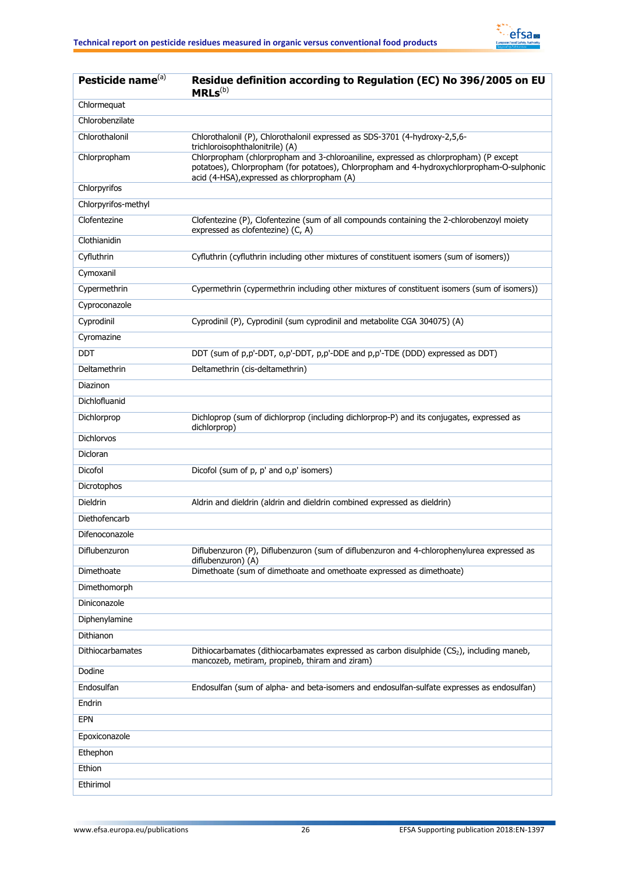| Pesticide name $(a)$ | Residue definition according to Regulation (EC) No 396/2005 on EU<br>$MRLs^{(b)}$                                                                                                                                                 |
|----------------------|-----------------------------------------------------------------------------------------------------------------------------------------------------------------------------------------------------------------------------------|
| Chlormequat          |                                                                                                                                                                                                                                   |
| Chlorobenzilate      |                                                                                                                                                                                                                                   |
| Chlorothalonil       | Chlorothalonil (P), Chlorothalonil expressed as SDS-3701 (4-hydroxy-2,5,6-<br>trichloroisophthalonitrile) (A)                                                                                                                     |
| Chlorpropham         | Chlorpropham (chlorpropham and 3-chloroaniline, expressed as chlorpropham) (P except<br>potatoes), Chlorpropham (for potatoes), Chlorpropham and 4-hydroxychlorpropham-O-sulphonic<br>acid (4-HSA), expressed as chlorpropham (A) |
| Chlorpyrifos         |                                                                                                                                                                                                                                   |
| Chlorpyrifos-methyl  |                                                                                                                                                                                                                                   |
| Clofentezine         | Clofentezine (P), Clofentezine (sum of all compounds containing the 2-chlorobenzoyl moiety<br>expressed as clofentezine) (C, A)                                                                                                   |
| Clothianidin         |                                                                                                                                                                                                                                   |
| Cyfluthrin           | Cyfluthrin (cyfluthrin including other mixtures of constituent isomers (sum of isomers))                                                                                                                                          |
| Cymoxanil            |                                                                                                                                                                                                                                   |
| Cypermethrin         | Cypermethrin (cypermethrin including other mixtures of constituent isomers (sum of isomers))                                                                                                                                      |
| Cyproconazole        |                                                                                                                                                                                                                                   |
| Cyprodinil           | Cyprodinil (P), Cyprodinil (sum cyprodinil and metabolite CGA 304075) (A)                                                                                                                                                         |
| Cyromazine           |                                                                                                                                                                                                                                   |
| <b>DDT</b>           | DDT (sum of p,p'-DDT, o,p'-DDT, p,p'-DDE and p,p'-TDE (DDD) expressed as DDT)                                                                                                                                                     |
| Deltamethrin         | Deltamethrin (cis-deltamethrin)                                                                                                                                                                                                   |
| Diazinon             |                                                                                                                                                                                                                                   |
| Dichlofluanid        |                                                                                                                                                                                                                                   |
| Dichlorprop          | Dichloprop (sum of dichlorprop (including dichlorprop-P) and its conjugates, expressed as<br>dichlorprop)                                                                                                                         |
| <b>Dichlorvos</b>    |                                                                                                                                                                                                                                   |
| Dicloran             |                                                                                                                                                                                                                                   |
| Dicofol              | Dicofol (sum of p, p' and o,p' isomers)                                                                                                                                                                                           |
| Dicrotophos          |                                                                                                                                                                                                                                   |
| Dieldrin             | Aldrin and dieldrin (aldrin and dieldrin combined expressed as dieldrin)                                                                                                                                                          |
| Diethofencarb        |                                                                                                                                                                                                                                   |
| Difenoconazole       |                                                                                                                                                                                                                                   |
| Diflubenzuron        | Diflubenzuron (P), Diflubenzuron (sum of diflubenzuron and 4-chlorophenylurea expressed as<br>diflubenzuron) (A)                                                                                                                  |
| Dimethoate           | Dimethoate (sum of dimethoate and omethoate expressed as dimethoate)                                                                                                                                                              |
| Dimethomorph         |                                                                                                                                                                                                                                   |
| Diniconazole         |                                                                                                                                                                                                                                   |
| Diphenylamine        |                                                                                                                                                                                                                                   |
| Dithianon            |                                                                                                                                                                                                                                   |
| Dithiocarbamates     | Dithiocarbamates (dithiocarbamates expressed as carbon disulphide (CS <sub>2</sub> ), including maneb,<br>mancozeb, metiram, propineb, thiram and ziram)                                                                          |
| Dodine               |                                                                                                                                                                                                                                   |
| Endosulfan           | Endosulfan (sum of alpha- and beta-isomers and endosulfan-sulfate expresses as endosulfan)                                                                                                                                        |
| Endrin               |                                                                                                                                                                                                                                   |
| <b>EPN</b>           |                                                                                                                                                                                                                                   |
| Epoxiconazole        |                                                                                                                                                                                                                                   |
| Ethephon             |                                                                                                                                                                                                                                   |
| Ethion               |                                                                                                                                                                                                                                   |
| Ethirimol            |                                                                                                                                                                                                                                   |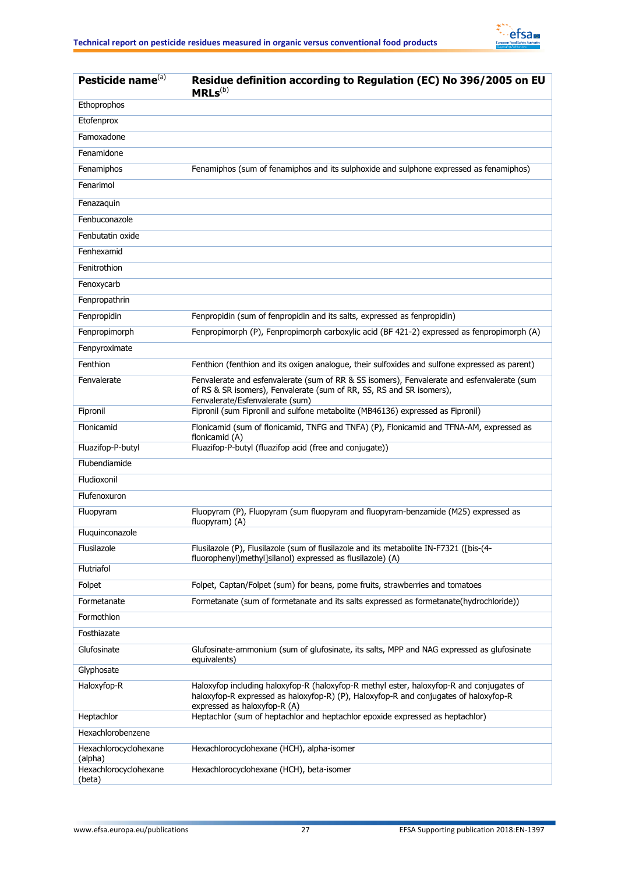

| Pesticide name $(a)$             | Residue definition according to Regulation (EC) No 396/2005 on EU<br>$MRLs^{(b)}$                                                                                                                                |
|----------------------------------|------------------------------------------------------------------------------------------------------------------------------------------------------------------------------------------------------------------|
| Ethoprophos                      |                                                                                                                                                                                                                  |
| Etofenprox                       |                                                                                                                                                                                                                  |
| Famoxadone                       |                                                                                                                                                                                                                  |
| Fenamidone                       |                                                                                                                                                                                                                  |
| Fenamiphos                       | Fenamiphos (sum of fenamiphos and its sulphoxide and sulphone expressed as fenamiphos)                                                                                                                           |
| Fenarimol                        |                                                                                                                                                                                                                  |
| Fenazaquin                       |                                                                                                                                                                                                                  |
| Fenbuconazole                    |                                                                                                                                                                                                                  |
| Fenbutatin oxide                 |                                                                                                                                                                                                                  |
| Fenhexamid                       |                                                                                                                                                                                                                  |
| Fenitrothion                     |                                                                                                                                                                                                                  |
| Fenoxycarb                       |                                                                                                                                                                                                                  |
| Fenpropathrin                    |                                                                                                                                                                                                                  |
| Fenpropidin                      | Fenpropidin (sum of fenpropidin and its salts, expressed as fenpropidin)                                                                                                                                         |
| Fenpropimorph                    | Fenpropimorph (P), Fenpropimorph carboxylic acid (BF 421-2) expressed as fenpropimorph (A)                                                                                                                       |
| Fenpyroximate                    |                                                                                                                                                                                                                  |
| Fenthion                         | Fenthion (fenthion and its oxigen analogue, their sulfoxides and sulfone expressed as parent)                                                                                                                    |
| Fenvalerate                      | Fenvalerate and esfenvalerate (sum of RR & SS isomers), Fenvalerate and esfenvalerate (sum<br>of RS & SR isomers), Fenvalerate (sum of RR, SS, RS and SR isomers),<br>Fenvalerate/Esfenvalerate (sum)            |
| Fipronil                         | Fipronil (sum Fipronil and sulfone metabolite (MB46136) expressed as Fipronil)                                                                                                                                   |
| Flonicamid                       | Flonicamid (sum of flonicamid, TNFG and TNFA) (P), Flonicamid and TFNA-AM, expressed as<br>flonicamid (A)                                                                                                        |
| Fluazifop-P-butyl                | Fluazifop-P-butyl (fluazifop acid (free and conjugate))                                                                                                                                                          |
| Flubendiamide                    |                                                                                                                                                                                                                  |
| Fludioxonil                      |                                                                                                                                                                                                                  |
| Flufenoxuron                     |                                                                                                                                                                                                                  |
| Fluopyram                        | Fluopyram (P), Fluopyram (sum fluopyram and fluopyram-benzamide (M25) expressed as<br>fluopyram) (A)                                                                                                             |
| Fluquinconazole                  |                                                                                                                                                                                                                  |
| Flusilazole                      | Flusilazole (P), Flusilazole (sum of flusilazole and its metabolite IN-F7321 ([bis-(4-<br>fluorophenyl)methyl]silanol) expressed as flusilazole) (A)                                                             |
| Flutriafol                       |                                                                                                                                                                                                                  |
| Folpet                           | Folpet, Captan/Folpet (sum) for beans, pome fruits, strawberries and tomatoes                                                                                                                                    |
| Formetanate                      | Formetanate (sum of formetanate and its salts expressed as formetanate(hydrochloride))                                                                                                                           |
| Formothion                       |                                                                                                                                                                                                                  |
| Fosthiazate                      |                                                                                                                                                                                                                  |
| Glufosinate                      | Glufosinate-ammonium (sum of glufosinate, its salts, MPP and NAG expressed as glufosinate<br>equivalents)                                                                                                        |
| Glyphosate                       |                                                                                                                                                                                                                  |
| Haloxyfop-R                      | Haloxyfop including haloxyfop-R (haloxyfop-R methyl ester, haloxyfop-R and conjugates of<br>haloxyfop-R expressed as haloxyfop-R) (P), Haloxyfop-R and conjugates of haloxyfop-R<br>expressed as haloxyfop-R (A) |
| Heptachlor                       | Heptachlor (sum of heptachlor and heptachlor epoxide expressed as heptachlor)                                                                                                                                    |
| Hexachlorobenzene                |                                                                                                                                                                                                                  |
| Hexachlorocyclohexane<br>(alpha) | Hexachlorocyclohexane (HCH), alpha-isomer                                                                                                                                                                        |
| Hexachlorocyclohexane<br>(beta)  | Hexachlorocyclohexane (HCH), beta-isomer                                                                                                                                                                         |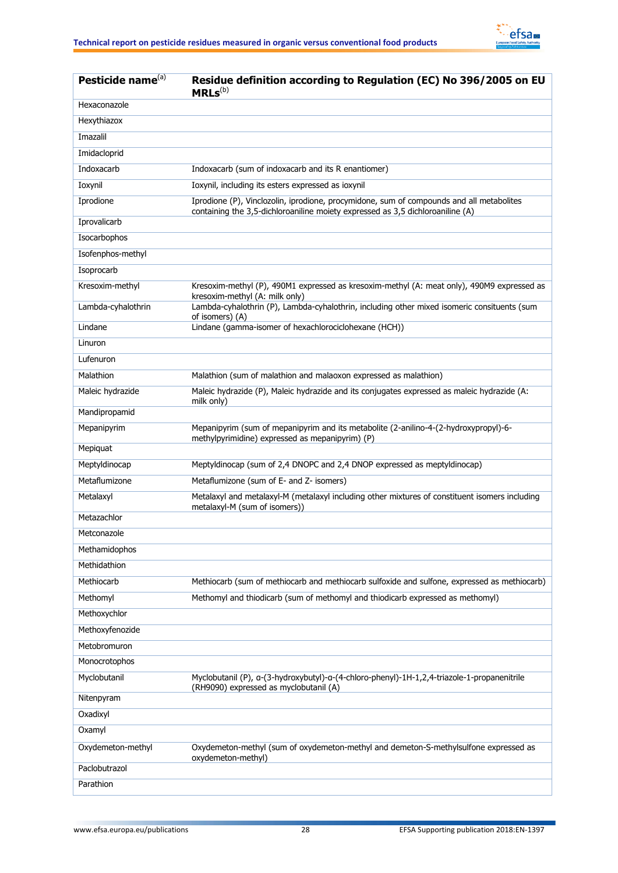

| Pesticide name <sup>(a)</sup> | Residue definition according to Regulation (EC) No 396/2005 on EU<br>$MRLs^{(b)}$                                                                                          |
|-------------------------------|----------------------------------------------------------------------------------------------------------------------------------------------------------------------------|
| Hexaconazole                  |                                                                                                                                                                            |
| Hexythiazox                   |                                                                                                                                                                            |
| Imazalil                      |                                                                                                                                                                            |
| Imidacloprid                  |                                                                                                                                                                            |
| Indoxacarb                    | Indoxacarb (sum of indoxacarb and its R enantiomer)                                                                                                                        |
| Ioxynil                       | Ioxynil, including its esters expressed as ioxynil                                                                                                                         |
| Iprodione                     | Iprodione (P), Vinclozolin, iprodione, procymidone, sum of compounds and all metabolites<br>containing the 3,5-dichloroaniline moiety expressed as 3,5 dichloroaniline (A) |
| Iprovalicarb                  |                                                                                                                                                                            |
| Isocarbophos                  |                                                                                                                                                                            |
| Isofenphos-methyl             |                                                                                                                                                                            |
| Isoprocarb                    |                                                                                                                                                                            |
| Kresoxim-methyl               | Kresoxim-methyl (P), 490M1 expressed as kresoxim-methyl (A: meat only), 490M9 expressed as<br>kresoxim-methyl (A: milk only)                                               |
| Lambda-cyhalothrin            | Lambda-cyhalothrin (P), Lambda-cyhalothrin, including other mixed isomeric consituents (sum<br>of isomers) (A)                                                             |
| Lindane                       | Lindane (gamma-isomer of hexachlorociclohexane (HCH))                                                                                                                      |
| Linuron                       |                                                                                                                                                                            |
| Lufenuron                     |                                                                                                                                                                            |
| Malathion                     | Malathion (sum of malathion and malaoxon expressed as malathion)                                                                                                           |
| Maleic hydrazide              | Maleic hydrazide (P), Maleic hydrazide and its conjugates expressed as maleic hydrazide (A:<br>milk only)                                                                  |
| Mandipropamid                 |                                                                                                                                                                            |
| Mepanipyrim                   | Mepanipyrim (sum of mepanipyrim and its metabolite (2-anilino-4-(2-hydroxypropyl)-6-<br>methylpyrimidine) expressed as mepanipyrim) (P)                                    |
| Mepiquat                      |                                                                                                                                                                            |
| Meptyldinocap                 | Meptyldinocap (sum of 2,4 DNOPC and 2,4 DNOP expressed as meptyldinocap)                                                                                                   |
| Metaflumizone                 | Metaflumizone (sum of E- and Z- isomers)                                                                                                                                   |
| Metalaxyl                     | Metalaxyl and metalaxyl-M (metalaxyl including other mixtures of constituent isomers including<br>metalaxyl-M (sum of isomers))                                            |
| Metazachlor                   |                                                                                                                                                                            |
| Metconazole                   |                                                                                                                                                                            |
| Methamidophos                 |                                                                                                                                                                            |
| Methidathion                  |                                                                                                                                                                            |
| Methiocarb                    | Methiocarb (sum of methiocarb and methiocarb sulfoxide and sulfone, expressed as methiocarb)                                                                               |
| Methomyl                      | Methomyl and thiodicarb (sum of methomyl and thiodicarb expressed as methomyl)                                                                                             |
| Methoxychlor                  |                                                                                                                                                                            |
| Methoxyfenozide               |                                                                                                                                                                            |
| Metobromuron                  |                                                                                                                                                                            |
| Monocrotophos                 |                                                                                                                                                                            |
| Myclobutanil                  | Myclobutanil (P), a-(3-hydroxybutyl)-a-(4-chloro-phenyl)-1H-1,2,4-triazole-1-propanenitrile<br>(RH9090) expressed as myclobutanil (A)                                      |
| Nitenpyram                    |                                                                                                                                                                            |
| Oxadixyl                      |                                                                                                                                                                            |
| Oxamyl                        |                                                                                                                                                                            |
| Oxydemeton-methyl             | Oxydemeton-methyl (sum of oxydemeton-methyl and demeton-S-methylsulfone expressed as<br>oxydemeton-methyl)                                                                 |
| Paclobutrazol                 |                                                                                                                                                                            |
| Parathion                     |                                                                                                                                                                            |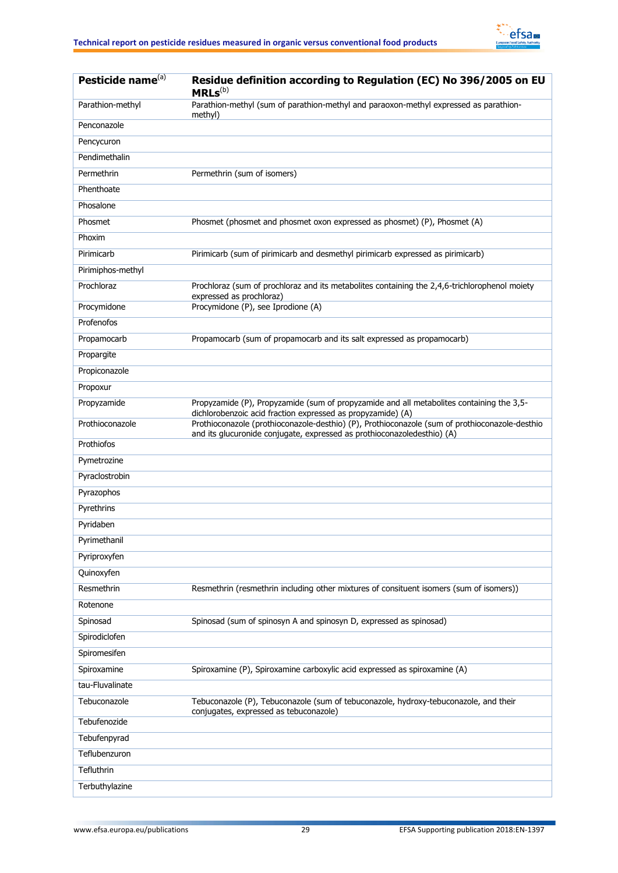

| Pesticide name $(a)$ | Residue definition according to Regulation (EC) No 396/2005 on EU<br>$MRLs^{(b)}$                                                                                         |
|----------------------|---------------------------------------------------------------------------------------------------------------------------------------------------------------------------|
| Parathion-methyl     | Parathion-methyl (sum of parathion-methyl and paraoxon-methyl expressed as parathion-<br>methyl)                                                                          |
| Penconazole          |                                                                                                                                                                           |
| Pencycuron           |                                                                                                                                                                           |
| Pendimethalin        |                                                                                                                                                                           |
| Permethrin           | Permethrin (sum of isomers)                                                                                                                                               |
| Phenthoate           |                                                                                                                                                                           |
| Phosalone            |                                                                                                                                                                           |
| Phosmet              | Phosmet (phosmet and phosmet oxon expressed as phosmet) (P), Phosmet (A)                                                                                                  |
| Phoxim               |                                                                                                                                                                           |
| Pirimicarb           | Pirimicarb (sum of pirimicarb and desmethyl pirimicarb expressed as pirimicarb)                                                                                           |
| Pirimiphos-methyl    |                                                                                                                                                                           |
| Prochloraz           | Prochloraz (sum of prochloraz and its metabolites containing the 2,4,6-trichlorophenol moiety<br>expressed as prochloraz)                                                 |
| Procymidone          | Procymidone (P), see Iprodione (A)                                                                                                                                        |
| Profenofos           |                                                                                                                                                                           |
| Propamocarb          | Propamocarb (sum of propamocarb and its salt expressed as propamocarb)                                                                                                    |
| Propargite           |                                                                                                                                                                           |
| Propiconazole        |                                                                                                                                                                           |
| Propoxur             |                                                                                                                                                                           |
| Propyzamide          | Propyzamide (P), Propyzamide (sum of propyzamide and all metabolites containing the 3,5-<br>dichlorobenzoic acid fraction expressed as propyzamide) (A)                   |
| Prothioconazole      | Prothioconazole (prothioconazole-desthio) (P), Prothioconazole (sum of prothioconazole-desthio<br>and its glucuronide conjugate, expressed as prothioconazoledesthio) (A) |
| Prothiofos           |                                                                                                                                                                           |
| Pymetrozine          |                                                                                                                                                                           |
| Pyraclostrobin       |                                                                                                                                                                           |
| Pyrazophos           |                                                                                                                                                                           |
| Pyrethrins           |                                                                                                                                                                           |
| Pyridaben            |                                                                                                                                                                           |
| Pyrimethanil         |                                                                                                                                                                           |
| Pyriproxyfen         |                                                                                                                                                                           |
| Quinoxyfen           |                                                                                                                                                                           |
| Resmethrin           | Resmethrin (resmethrin including other mixtures of consituent isomers (sum of isomers))                                                                                   |
| Rotenone             |                                                                                                                                                                           |
| Spinosad             | Spinosad (sum of spinosyn A and spinosyn D, expressed as spinosad)                                                                                                        |
| Spirodiclofen        |                                                                                                                                                                           |
| Spiromesifen         |                                                                                                                                                                           |
| Spiroxamine          | Spiroxamine (P), Spiroxamine carboxylic acid expressed as spiroxamine (A)                                                                                                 |
| tau-Fluvalinate      |                                                                                                                                                                           |
| Tebuconazole         | Tebuconazole (P), Tebuconazole (sum of tebuconazole, hydroxy-tebuconazole, and their<br>conjugates, expressed as tebuconazole)                                            |
| Tebufenozide         |                                                                                                                                                                           |
| Tebufenpyrad         |                                                                                                                                                                           |
| Teflubenzuron        |                                                                                                                                                                           |
| Tefluthrin           |                                                                                                                                                                           |
| Terbuthylazine       |                                                                                                                                                                           |